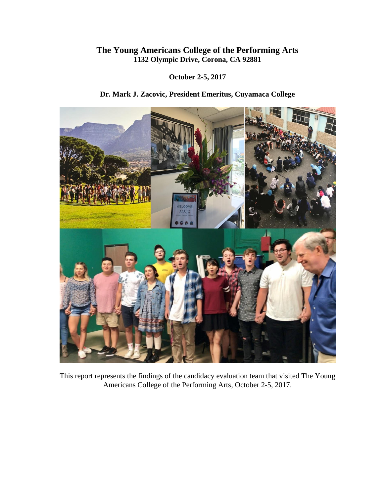# **The Young Americans College of the Performing Arts 1132 Olympic Drive, Corona, CA 92881**

**October 2-5, 2017**

**Dr. Mark J. Zacovic, President Emeritus, Cuyamaca College**



This report represents the findings of the candidacy evaluation team that visited The Young Americans College of the Performing Arts, October 2-5, 2017.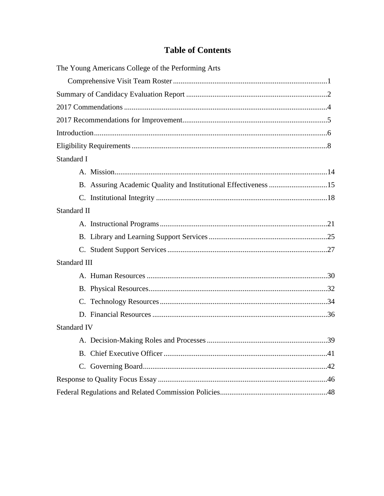# **Table of Contents**

| The Young Americans College of the Performing Arts              |  |
|-----------------------------------------------------------------|--|
|                                                                 |  |
|                                                                 |  |
|                                                                 |  |
|                                                                 |  |
|                                                                 |  |
|                                                                 |  |
| Standard I                                                      |  |
|                                                                 |  |
| B. Assuring Academic Quality and Institutional Effectiveness 15 |  |
|                                                                 |  |
| Standard II                                                     |  |
|                                                                 |  |
|                                                                 |  |
|                                                                 |  |
| Standard III                                                    |  |
|                                                                 |  |
|                                                                 |  |
|                                                                 |  |
|                                                                 |  |
| <b>Standard IV</b>                                              |  |
|                                                                 |  |
|                                                                 |  |
|                                                                 |  |
|                                                                 |  |
|                                                                 |  |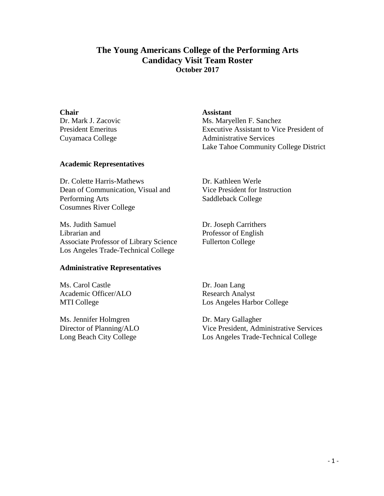# **The Young Americans College of the Performing Arts Candidacy Visit Team Roster October 2017**

#### **Chair**

Dr. Mark J. Zacovic President Emeritus Cuyamaca College

#### **Academic Representatives**

Dr. Colette Harris-Mathews Dean of Communication, Visual and Performing Arts Cosumnes River College

Ms. Judith Samuel Librarian and Associate Professor of Library Science Los Angeles Trade-Technical College

#### **Administrative Representatives**

Ms. Carol Castle Academic Officer/ALO MTI College

Ms. Jennifer Holmgren Director of Planning/ALO Long Beach City College

#### **Assistant**

Ms. Maryellen F. Sanchez Executive Assistant to Vice President of Administrative Services Lake Tahoe Community College District

Dr. Kathleen Werle Vice President for Instruction Saddleback College

Dr. Joseph Carrithers Professor of English Fullerton College

Dr. Joan Lang Research Analyst Los Angeles Harbor College

Dr. Mary Gallagher Vice President, Administrative Services Los Angeles Trade-Technical College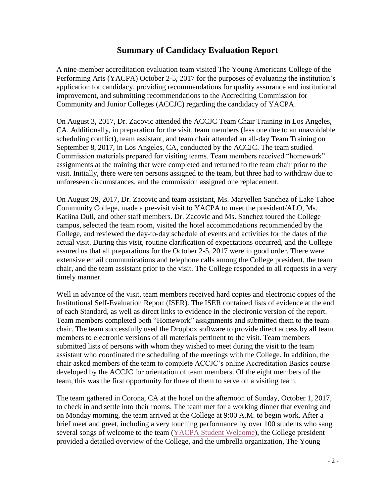# **Summary of Candidacy Evaluation Report**

A nine-member accreditation evaluation team visited The Young Americans College of the Performing Arts (YACPA) October 2-5, 2017 for the purposes of evaluating the institution's application for candidacy, providing recommendations for quality assurance and institutional improvement, and submitting recommendations to the Accrediting Commission for Community and Junior Colleges (ACCJC) regarding the candidacy of YACPA.

On August 3, 2017, Dr. Zacovic attended the ACCJC Team Chair Training in Los Angeles, CA. Additionally, in preparation for the visit, team members (less one due to an unavoidable scheduling conflict), team assistant, and team chair attended an all-day Team Training on September 8, 2017, in Los Angeles, CA, conducted by the ACCJC. The team studied Commission materials prepared for visiting teams. Team members received "homework" assignments at the training that were completed and returned to the team chair prior to the visit. Initially, there were ten persons assigned to the team, but three had to withdraw due to unforeseen circumstances, and the commission assigned one replacement.

On August 29, 2017, Dr. Zacovic and team assistant, Ms. Maryellen Sanchez of Lake Tahoe Community College, made a pre-visit visit to YACPA to meet the president/ALO, Ms. Katiina Dull, and other staff members. Dr. Zacovic and Ms. Sanchez toured the College campus, selected the team room, visited the hotel accommodations recommended by the College, and reviewed the day-to-day schedule of events and activities for the dates of the actual visit. During this visit, routine clarification of expectations occurred, and the College assured us that all preparations for the October 2-5, 2017 were in good order. There were extensive email communications and telephone calls among the College president, the team chair, and the team assistant prior to the visit. The College responded to all requests in a very timely manner.

Well in advance of the visit, team members received hard copies and electronic copies of the Institutional Self-Evaluation Report (ISER). The ISER contained lists of evidence at the end of each Standard, as well as direct links to evidence in the electronic version of the report. Team members completed both "Homework" assignments and submitted them to the team chair. The team successfully used the Dropbox software to provide direct access by all team members to electronic versions of all materials pertinent to the visit. Team members submitted lists of persons with whom they wished to meet during the visit to the team assistant who coordinated the scheduling of the meetings with the College. In addition, the chair asked members of the team to complete ACCJC's online Accreditation Basics course developed by the ACCJC for orientation of team members. Of the eight members of the team, this was the first opportunity for three of them to serve on a visiting team.

The team gathered in Corona, CA at the hotel on the afternoon of Sunday, October 1, 2017, to check in and settle into their rooms. The team met for a working dinner that evening and on Monday morning, the team arrived at the College at 9:00 A.M. to begin work. After a brief meet and greet, including a very touching performance by over 100 students who sang several songs of welcome to the team [\(YACPA Student Welcome\)](https://www.dropbox.com/s/eg9fjhd913ae29g/1080p.mov?dl=0), the College president provided a detailed overview of the College, and the umbrella organization, The Young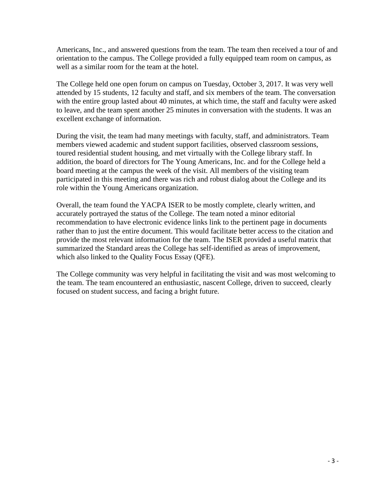Americans, Inc., and answered questions from the team. The team then received a tour of and orientation to the campus. The College provided a fully equipped team room on campus, as well as a similar room for the team at the hotel.

The College held one open forum on campus on Tuesday, October 3, 2017. It was very well attended by 15 students, 12 faculty and staff, and six members of the team. The conversation with the entire group lasted about 40 minutes, at which time, the staff and faculty were asked to leave, and the team spent another 25 minutes in conversation with the students. It was an excellent exchange of information.

During the visit, the team had many meetings with faculty, staff, and administrators. Team members viewed academic and student support facilities, observed classroom sessions, toured residential student housing, and met virtually with the College library staff. In addition, the board of directors for The Young Americans, Inc. and for the College held a board meeting at the campus the week of the visit. All members of the visiting team participated in this meeting and there was rich and robust dialog about the College and its role within the Young Americans organization.

Overall, the team found the YACPA ISER to be mostly complete, clearly written, and accurately portrayed the status of the College. The team noted a minor editorial recommendation to have electronic evidence links link to the pertinent page in documents rather than to just the entire document. This would facilitate better access to the citation and provide the most relevant information for the team. The ISER provided a useful matrix that summarized the Standard areas the College has self-identified as areas of improvement, which also linked to the Quality Focus Essay (QFE).

The College community was very helpful in facilitating the visit and was most welcoming to the team. The team encountered an enthusiastic, nascent College, driven to succeed, clearly focused on student success, and facing a bright future.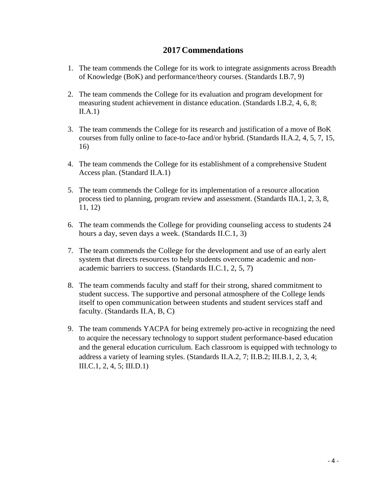# **2017Commendations**

- 1. The team commends the College for its work to integrate assignments across Breadth of Knowledge (BoK) and performance/theory courses. (Standards I.B.7, 9)
- 2. The team commends the College for its evaluation and program development for measuring student achievement in distance education. (Standards I.B.2, 4, 6, 8;  $II.A.1)$
- 3. The team commends the College for its research and justification of a move of BoK courses from fully online to face-to-face and/or hybrid. (Standards II.A.2, 4, 5, 7, 15, 16)
- 4. The team commends the College for its establishment of a comprehensive Student Access plan. (Standard II.A.1)
- 5. The team commends the College for its implementation of a resource allocation process tied to planning, program review and assessment. (Standards IIA.1, 2, 3, 8, 11, 12)
- 6. The team commends the College for providing counseling access to students 24 hours a day, seven days a week. (Standards II.C.1, 3)
- 7. The team commends the College for the development and use of an early alert system that directs resources to help students overcome academic and nonacademic barriers to success. (Standards II.C.1, 2, 5, 7)
- 8. The team commends faculty and staff for their strong, shared commitment to student success. The supportive and personal atmosphere of the College lends itself to open communication between students and student services staff and faculty. (Standards II.A, B, C)
- 9. The team commends YACPA for being extremely pro-active in recognizing the need to acquire the necessary technology to support student performance-based education and the general education curriculum. Each classroom is equipped with technology to address a variety of learning styles. (Standards II.A.2, 7; II.B.2; III.B.1, 2, 3, 4; III.C.1, 2, 4, 5; III.D.1)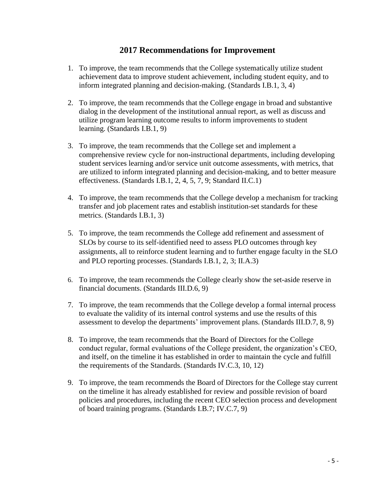# **2017 Recommendations for Improvement**

- 1. To improve, the team recommends that the College systematically utilize student achievement data to improve student achievement, including student equity, and to inform integrated planning and decision-making. (Standards I.B.1, 3, 4)
- 2. To improve, the team recommends that the College engage in broad and substantive dialog in the development of the institutional annual report, as well as discuss and utilize program learning outcome results to inform improvements to student learning. (Standards I.B.1, 9)
- 3. To improve, the team recommends that the College set and implement a comprehensive review cycle for non-instructional departments, including developing student services learning and/or service unit outcome assessments, with metrics, that are utilized to inform integrated planning and decision-making, and to better measure effectiveness. (Standards I.B.1, 2, 4, 5, 7, 9; Standard II.C.1)
- 4. To improve, the team recommends that the College develop a mechanism for tracking transfer and job placement rates and establish institution-set standards for these metrics. (Standards I.B.1, 3)
- 5. To improve, the team recommends the College add refinement and assessment of SLOs by course to its self-identified need to assess PLO outcomes through key assignments, all to reinforce student learning and to further engage faculty in the SLO and PLO reporting processes. (Standards I.B.1, 2, 3; II.A.3)
- 6. To improve, the team recommends the College clearly show the set-aside reserve in financial documents. (Standards III.D.6, 9)
- 7. To improve, the team recommends that the College develop a formal internal process to evaluate the validity of its internal control systems and use the results of this assessment to develop the departments' improvement plans. (Standards III.D.7, 8, 9)
- 8. To improve, the team recommends that the Board of Directors for the College conduct regular, formal evaluations of the College president, the organization's CEO, and itself, on the timeline it has established in order to maintain the cycle and fulfill the requirements of the Standards. (Standards IV.C.3, 10, 12)
- 9. To improve, the team recommends the Board of Directors for the College stay current on the timeline it has already established for review and possible revision of board policies and procedures, including the recent CEO selection process and development of board training programs. (Standards I.B.7; IV.C.7, 9)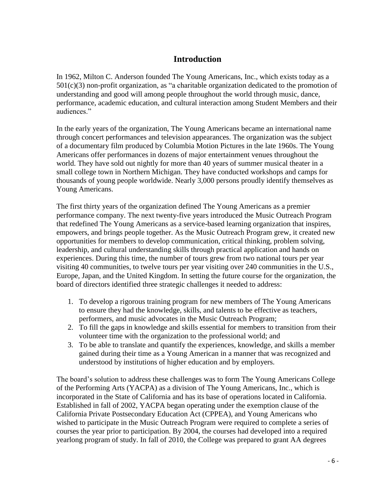# **Introduction**

In 1962, Milton C. Anderson founded The Young Americans, Inc., which exists today as a  $501(c)(3)$  non-profit organization, as "a charitable organization dedicated to the promotion of understanding and good will among people throughout the world through music, dance, performance, academic education, and cultural interaction among Student Members and their audiences."

In the early years of the organization, The Young Americans became an international name through concert performances and television appearances. The organization was the subject of a documentary film produced by Columbia Motion Pictures in the late 1960s. The Young Americans offer performances in dozens of major entertainment venues throughout the world. They have sold out nightly for more than 40 years of summer musical theater in a small college town in Northern Michigan. They have conducted workshops and camps for thousands of young people worldwide. Nearly 3,000 persons proudly identify themselves as Young Americans.

The first thirty years of the organization defined The Young Americans as a premier performance company. The next twenty-five years introduced the Music Outreach Program that redefined The Young Americans as a service-based learning organization that inspires, empowers, and brings people together. As the Music Outreach Program grew, it created new opportunities for members to develop communication, critical thinking, problem solving, leadership, and cultural understanding skills through practical application and hands on experiences. During this time, the number of tours grew from two national tours per year visiting 40 communities, to twelve tours per year visiting over 240 communities in the U.S., Europe, Japan, and the United Kingdom. In setting the future course for the organization, the board of directors identified three strategic challenges it needed to address:

- 1. To develop a rigorous training program for new members of The Young Americans to ensure they had the knowledge, skills, and talents to be effective as teachers, performers, and music advocates in the Music Outreach Program;
- 2. To fill the gaps in knowledge and skills essential for members to transition from their volunteer time with the organization to the professional world; and
- 3. To be able to translate and quantify the experiences, knowledge, and skills a member gained during their time as a Young American in a manner that was recognized and understood by institutions of higher education and by employers.

The board's solution to address these challenges was to form The Young Americans College of the Performing Arts (YACPA) as a division of The Young Americans, Inc., which is incorporated in the State of California and has its base of operations located in California. Established in fall of 2002, YACPA began operating under the exemption clause of the California Private Postsecondary Education Act (CPPEA), and Young Americans who wished to participate in the Music Outreach Program were required to complete a series of courses the year prior to participation. By 2004, the courses had developed into a required yearlong program of study. In fall of 2010, the College was prepared to grant AA degrees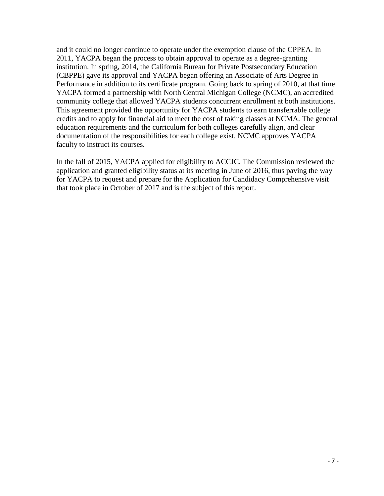and it could no longer continue to operate under the exemption clause of the CPPEA. In 2011, YACPA began the process to obtain approval to operate as a degree-granting institution. In spring, 2014, the California Bureau for Private Postsecondary Education (CBPPE) gave its approval and YACPA began offering an Associate of Arts Degree in Performance in addition to its certificate program. Going back to spring of 2010, at that time YACPA formed a partnership with North Central Michigan College (NCMC), an accredited community college that allowed YACPA students concurrent enrollment at both institutions. This agreement provided the opportunity for YACPA students to earn transferrable college credits and to apply for financial aid to meet the cost of taking classes at NCMA. The general education requirements and the curriculum for both colleges carefully align, and clear documentation of the responsibilities for each college exist. NCMC approves YACPA faculty to instruct its courses.

In the fall of 2015, YACPA applied for eligibility to ACCJC. The Commission reviewed the application and granted eligibility status at its meeting in June of 2016, thus paving the way for YACPA to request and prepare for the Application for Candidacy Comprehensive visit that took place in October of 2017 and is the subject of this report.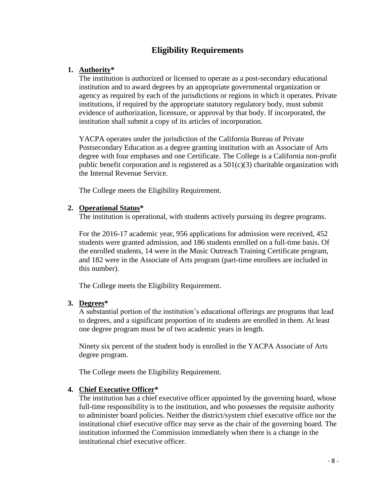# **Eligibility Requirements**

### **1. Authority\***

The institution is authorized or licensed to operate as a post-secondary educational institution and to award degrees by an appropriate governmental organization or agency as required by each of the jurisdictions or regions in which it operates. Private institutions, if required by the appropriate statutory regulatory body, must submit evidence of authorization, licensure, or approval by that body. If incorporated, the institution shall submit a copy of its articles of incorporation.

YACPA operates under the jurisdiction of the California Bureau of Private Postsecondary Education as a degree granting institution with an Associate of Arts degree with four emphases and one Certificate. The College is a California non-profit public benefit corporation and is registered as a  $501(c)(3)$  charitable organization with the Internal Revenue Service.

The College meets the Eligibility Requirement.

#### **2. Operational Status\***

The institution is operational, with students actively pursuing its degree programs.

For the 2016-17 academic year, 956 applications for admission were received, 452 students were granted admission, and 186 students enrolled on a full-time basis. Of the enrolled students, 14 were in the Music Outreach Training Certificate program, and 182 were in the Associate of Arts program (part-time enrollees are included in this number).

The College meets the Eligibility Requirement.

#### **3. Degrees\***

A substantial portion of the institution's educational offerings are programs that lead to degrees, and a significant proportion of its students are enrolled in them. At least one degree program must be of two academic years in length.

Ninety six percent of the student body is enrolled in the YACPA Associate of Arts degree program.

The College meets the Eligibility Requirement.

#### **4. Chief Executive Officer\***

The institution has a chief executive officer appointed by the governing board, whose full-time responsibility is to the institution, and who possesses the requisite authority to administer board policies. Neither the district/system chief executive office nor the institutional chief executive office may serve as the chair of the governing board. The institution informed the Commission immediately when there is a change in the institutional chief executive officer.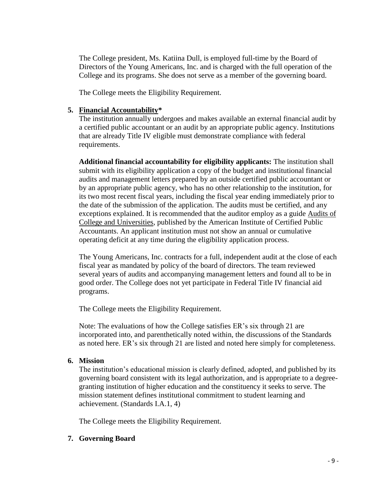The College president, Ms. Katiina Dull, is employed full-time by the Board of Directors of the Young Americans, Inc. and is charged with the full operation of the College and its programs. She does not serve as a member of the governing board.

The College meets the Eligibility Requirement.

## **5. Financial Accountability\***

The institution annually undergoes and makes available an external financial audit by a certified public accountant or an audit by an appropriate public agency. Institutions that are already Title IV eligible must demonstrate compliance with federal requirements.

**Additional financial accountability for eligibility applicants:** The institution shall submit with its eligibility application a copy of the budget and institutional financial audits and management letters prepared by an outside certified public accountant or by an appropriate public agency, who has no other relationship to the institution, for its two most recent fiscal years, including the fiscal year ending immediately prior to the date of the submission of the application. The audits must be certified, and any exceptions explained. It is recommended that the auditor employ as a guide Audits of College and Universities, published by the American Institute of Certified Public Accountants. An applicant institution must not show an annual or cumulative operating deficit at any time during the eligibility application process.

The Young Americans, Inc. contracts for a full, independent audit at the close of each fiscal year as mandated by policy of the board of directors. The team reviewed several years of audits and accompanying management letters and found all to be in good order. The College does not yet participate in Federal Title IV financial aid programs.

The College meets the Eligibility Requirement.

Note: The evaluations of how the College satisfies ER's six through 21 are incorporated into, and parenthetically noted within, the discussions of the Standards as noted here. ER's six through 21 are listed and noted here simply for completeness.

#### **6. Mission**

The institution's educational mission is clearly defined, adopted, and published by its governing board consistent with its legal authorization, and is appropriate to a degreegranting institution of higher education and the constituency it seeks to serve. The mission statement defines institutional commitment to student learning and achievement. (Standards I.A.1, 4)

The College meets the Eligibility Requirement.

#### **7. Governing Board**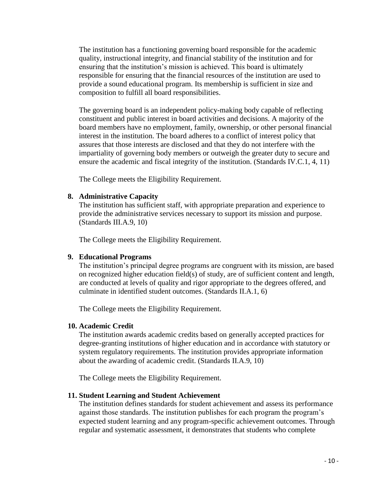The institution has a functioning governing board responsible for the academic quality, instructional integrity, and financial stability of the institution and for ensuring that the institution's mission is achieved. This board is ultimately responsible for ensuring that the financial resources of the institution are used to provide a sound educational program. Its membership is sufficient in size and composition to fulfill all board responsibilities.

The governing board is an independent policy-making body capable of reflecting constituent and public interest in board activities and decisions. A majority of the board members have no employment, family, ownership, or other personal financial interest in the institution. The board adheres to a conflict of interest policy that assures that those interests are disclosed and that they do not interfere with the impartiality of governing body members or outweigh the greater duty to secure and ensure the academic and fiscal integrity of the institution. (Standards IV.C.1, 4, 11)

The College meets the Eligibility Requirement.

#### **8. Administrative Capacity**

The institution has sufficient staff, with appropriate preparation and experience to provide the administrative services necessary to support its mission and purpose. (Standards III.A.9, 10)

The College meets the Eligibility Requirement.

#### **9. Educational Programs**

The institution's principal degree programs are congruent with its mission, are based on recognized higher education field(s) of study, are of sufficient content and length, are conducted at levels of quality and rigor appropriate to the degrees offered, and culminate in identified student outcomes. (Standards II.A.1, 6)

The College meets the Eligibility Requirement.

#### **10. Academic Credit**

The institution awards academic credits based on generally accepted practices for degree-granting institutions of higher education and in accordance with statutory or system regulatory requirements. The institution provides appropriate information about the awarding of academic credit. (Standards II.A.9, 10)

The College meets the Eligibility Requirement.

#### **11. Student Learning and Student Achievement**

The institution defines standards for student achievement and assess its performance against those standards. The institution publishes for each program the program's expected student learning and any program-specific achievement outcomes. Through regular and systematic assessment, it demonstrates that students who complete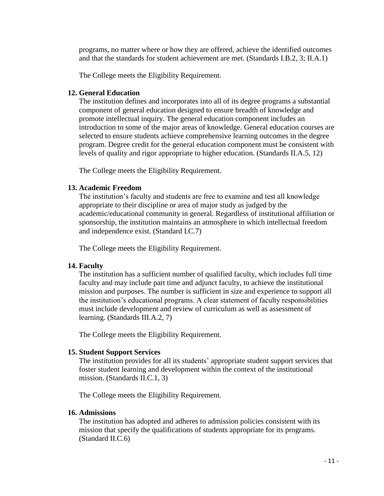programs, no matter where or how they are offered, achieve the identified outcomes and that the standards for student achievement are met. (Standards I.B.2, 3; II.A.1)

The College meets the Eligibility Requirement.

#### **12. General Education**

The institution defines and incorporates into all of its degree programs a substantial component of general education designed to ensure breadth of knowledge and promote intellectual inquiry. The general education component includes an introduction to some of the major areas of knowledge. General education courses are selected to ensure students achieve comprehensive learning outcomes in the degree program. Degree credit for the general education component must be consistent with levels of quality and rigor appropriate to higher education. (Standards II.A.5, 12)

The College meets the Eligibility Requirement.

#### **13. Academic Freedom**

The institution's faculty and students are free to examine and test all knowledge appropriate to their discipline or area of major study as judged by the academic/educational community in general. Regardless of institutional affiliation or sponsorship, the institution maintains an atmosphere in which intellectual freedom and independence exist. (Standard I.C.7)

The College meets the Eligibility Requirement.

#### **14. Faculty**

The institution has a sufficient number of qualified faculty, which includes full time faculty and may include part time and adjunct faculty, to achieve the institutional mission and purposes. The number is sufficient in size and experience to support all the institution's educational programs. A clear statement of faculty responsibilities must include development and review of curriculum as well as assessment of learning. (Standards III.A.2, 7)

The College meets the Eligibility Requirement.

#### **15. Student Support Services**

The institution provides for all its students' appropriate student support services that foster student learning and development within the context of the institutional mission. (Standards II.C.1, 3)

The College meets the Eligibility Requirement.

#### **16. Admissions**

The institution has adopted and adheres to admission policies consistent with its mission that specify the qualifications of students appropriate for its programs. (Standard II.C.6)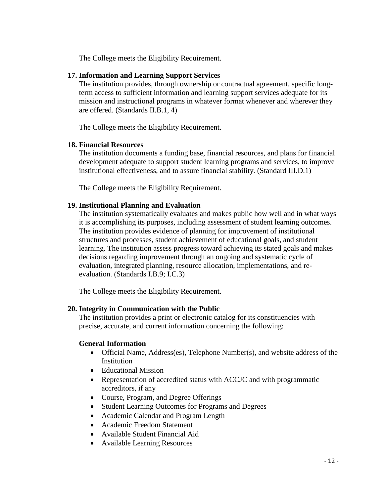The College meets the Eligibility Requirement.

#### **17. Information and Learning Support Services**

The institution provides, through ownership or contractual agreement, specific longterm access to sufficient information and learning support services adequate for its mission and instructional programs in whatever format whenever and wherever they are offered. (Standards II.B.1, 4)

The College meets the Eligibility Requirement.

#### **18. Financial Resources**

The institution documents a funding base, financial resources, and plans for financial development adequate to support student learning programs and services, to improve institutional effectiveness, and to assure financial stability. (Standard III.D.1)

The College meets the Eligibility Requirement.

#### **19. Institutional Planning and Evaluation**

The institution systematically evaluates and makes public how well and in what ways it is accomplishing its purposes, including assessment of student learning outcomes. The institution provides evidence of planning for improvement of institutional structures and processes, student achievement of educational goals, and student learning. The institution assess progress toward achieving its stated goals and makes decisions regarding improvement through an ongoing and systematic cycle of evaluation, integrated planning, resource allocation, implementations, and reevaluation. (Standards I.B.9; I.C.3)

The College meets the Eligibility Requirement.

#### **20. Integrity in Communication with the Public**

The institution provides a print or electronic catalog for its constituencies with precise, accurate, and current information concerning the following:

#### **General Information**

- Official Name, Address(es), Telephone Number(s), and website address of the Institution
- Educational Mission
- Representation of accredited status with ACCJC and with programmatic accreditors, if any
- Course, Program, and Degree Offerings
- Student Learning Outcomes for Programs and Degrees
- Academic Calendar and Program Length
- Academic Freedom Statement
- Available Student Financial Aid
- Available Learning Resources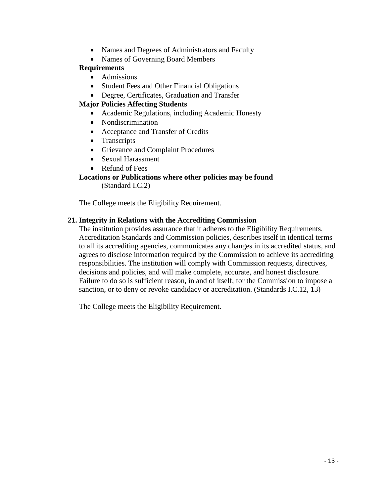- Names and Degrees of Administrators and Faculty
- Names of Governing Board Members

#### **Requirements**

- Admissions
- Student Fees and Other Financial Obligations
- Degree, Certificates, Graduation and Transfer

### **Major Policies Affecting Students**

- Academic Regulations, including Academic Honesty
- Nondiscrimination
- Acceptance and Transfer of Credits
- Transcripts
- Grievance and Complaint Procedures
- Sexual Harassment
- Refund of Fees

#### **Locations or Publications where other policies may be found** (Standard I.C.2)

The College meets the Eligibility Requirement.

### **21. Integrity in Relations with the Accrediting Commission**

The institution provides assurance that it adheres to the Eligibility Requirements, Accreditation Standards and Commission policies, describes itself in identical terms to all its accrediting agencies, communicates any changes in its accredited status, and agrees to disclose information required by the Commission to achieve its accrediting responsibilities. The institution will comply with Commission requests, directives, decisions and policies, and will make complete, accurate, and honest disclosure. Failure to do so is sufficient reason, in and of itself, for the Commission to impose a sanction, or to deny or revoke candidacy or accreditation. (Standards I.C.12, 13)

The College meets the Eligibility Requirement.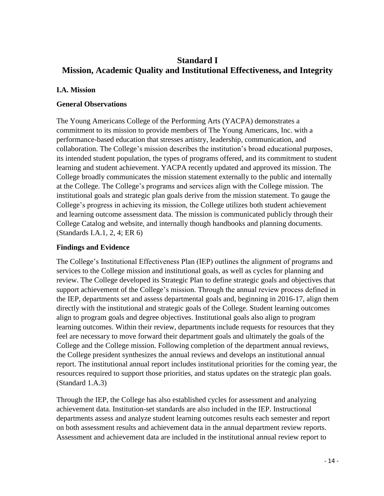# **Standard I Mission, Academic Quality and Institutional Effectiveness, and Integrity**

### **I.A. Mission**

#### **General Observations**

The Young Americans College of the Performing Arts (YACPA) demonstrates a commitment to its mission to provide members of The Young Americans, Inc. with a performance-based education that stresses artistry, leadership, communication, and collaboration. The College's mission describes the institution's broad educational purposes, its intended student population, the types of programs offered, and its commitment to student learning and student achievement. YACPA recently updated and approved its mission. The College broadly communicates the mission statement externally to the public and internally at the College. The College's programs and services align with the College mission. The institutional goals and strategic plan goals derive from the mission statement. To gauge the College's progress in achieving its mission, the College utilizes both student achievement and learning outcome assessment data. The mission is communicated publicly through their College Catalog and website, and internally though handbooks and planning documents. (Standards I.A.1, 2, 4; ER 6)

## **Findings and Evidence**

The College's Institutional Effectiveness Plan (IEP) outlines the alignment of programs and services to the College mission and institutional goals, as well as cycles for planning and review. The College developed its Strategic Plan to define strategic goals and objectives that support achievement of the College's mission. Through the annual review process defined in the IEP, departments set and assess departmental goals and, beginning in 2016-17, align them directly with the institutional and strategic goals of the College. Student learning outcomes align to program goals and degree objectives. Institutional goals also align to program learning outcomes. Within their review, departments include requests for resources that they feel are necessary to move forward their department goals and ultimately the goals of the College and the College mission. Following completion of the department annual reviews, the College president synthesizes the annual reviews and develops an institutional annual report. The institutional annual report includes institutional priorities for the coming year, the resources required to support those priorities, and status updates on the strategic plan goals. (Standard 1.A.3)

Through the IEP, the College has also established cycles for assessment and analyzing achievement data. Institution-set standards are also included in the IEP. Instructional departments assess and analyze student learning outcomes results each semester and report on both assessment results and achievement data in the annual department review reports. Assessment and achievement data are included in the institutional annual review report to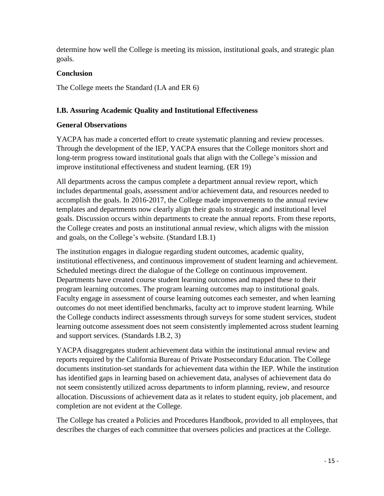determine how well the College is meeting its mission, institutional goals, and strategic plan goals.

# **Conclusion**

The College meets the Standard (I.A and ER 6)

# **I.B. Assuring Academic Quality and Institutional Effectiveness**

# **General Observations**

YACPA has made a concerted effort to create systematic planning and review processes. Through the development of the IEP, YACPA ensures that the College monitors short and long-term progress toward institutional goals that align with the College's mission and improve institutional effectiveness and student learning. (ER 19)

All departments across the campus complete a department annual review report, which includes departmental goals, assessment and/or achievement data, and resources needed to accomplish the goals. In 2016-2017, the College made improvements to the annual review templates and departments now clearly align their goals to strategic and institutional level goals. Discussion occurs within departments to create the annual reports. From these reports, the College creates and posts an institutional annual review, which aligns with the mission and goals, on the College's website. (Standard I.B.1)

The institution engages in dialogue regarding student outcomes, academic quality, institutional effectiveness, and continuous improvement of student learning and achievement. Scheduled meetings direct the dialogue of the College on continuous improvement. Departments have created course student learning outcomes and mapped these to their program learning outcomes. The program learning outcomes map to institutional goals. Faculty engage in assessment of course learning outcomes each semester, and when learning outcomes do not meet identified benchmarks, faculty act to improve student learning. While the College conducts indirect assessments through surveys for some student services, student learning outcome assessment does not seem consistently implemented across student learning and support services. (Standards I.B.2, 3)

YACPA disaggregates student achievement data within the institutional annual review and reports required by the California Bureau of Private Postsecondary Education. The College documents institution-set standards for achievement data within the IEP. While the institution has identified gaps in learning based on achievement data, analyses of achievement data do not seem consistently utilized across departments to inform planning, review, and resource allocation. Discussions of achievement data as it relates to student equity, job placement, and completion are not evident at the College.

The College has created a Policies and Procedures Handbook, provided to all employees, that describes the charges of each committee that oversees policies and practices at the College.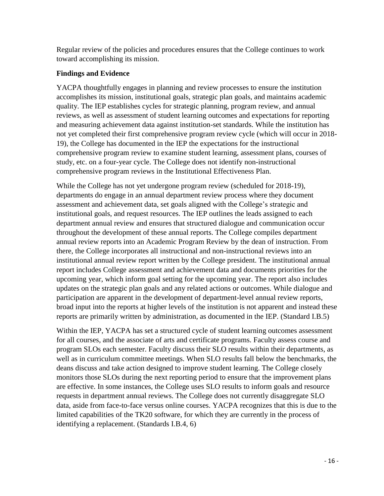Regular review of the policies and procedures ensures that the College continues to work toward accomplishing its mission.

## **Findings and Evidence**

YACPA thoughtfully engages in planning and review processes to ensure the institution accomplishes its mission, institutional goals, strategic plan goals, and maintains academic quality. The IEP establishes cycles for strategic planning, program review, and annual reviews, as well as assessment of student learning outcomes and expectations for reporting and measuring achievement data against institution-set standards. While the institution has not yet completed their first comprehensive program review cycle (which will occur in 2018- 19), the College has documented in the IEP the expectations for the instructional comprehensive program review to examine student learning, assessment plans, courses of study, etc. on a four-year cycle. The College does not identify non-instructional comprehensive program reviews in the Institutional Effectiveness Plan.

While the College has not yet undergone program review (scheduled for 2018-19), departments do engage in an annual department review process where they document assessment and achievement data, set goals aligned with the College's strategic and institutional goals, and request resources. The IEP outlines the leads assigned to each department annual review and ensures that structured dialogue and communication occur throughout the development of these annual reports. The College compiles department annual review reports into an Academic Program Review by the dean of instruction. From there, the College incorporates all instructional and non-instructional reviews into an institutional annual review report written by the College president. The institutional annual report includes College assessment and achievement data and documents priorities for the upcoming year, which inform goal setting for the upcoming year. The report also includes updates on the strategic plan goals and any related actions or outcomes. While dialogue and participation are apparent in the development of department-level annual review reports, broad input into the reports at higher levels of the institution is not apparent and instead these reports are primarily written by administration, as documented in the IEP. (Standard I.B.5)

Within the IEP, YACPA has set a structured cycle of student learning outcomes assessment for all courses, and the associate of arts and certificate programs. Faculty assess course and program SLOs each semester. Faculty discuss their SLO results within their departments, as well as in curriculum committee meetings. When SLO results fall below the benchmarks, the deans discuss and take action designed to improve student learning. The College closely monitors those SLOs during the next reporting period to ensure that the improvement plans are effective. In some instances, the College uses SLO results to inform goals and resource requests in department annual reviews. The College does not currently disaggregate SLO data, aside from face-to-face versus online courses. YACPA recognizes that this is due to the limited capabilities of the TK20 software, for which they are currently in the process of identifying a replacement. (Standards I.B.4, 6)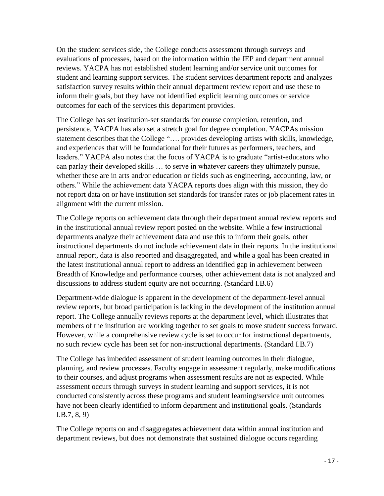On the student services side, the College conducts assessment through surveys and evaluations of processes, based on the information within the IEP and department annual reviews. YACPA has not established student learning and/or service unit outcomes for student and learning support services. The student services department reports and analyzes satisfaction survey results within their annual department review report and use these to inform their goals, but they have not identified explicit learning outcomes or service outcomes for each of the services this department provides.

The College has set institution-set standards for course completion, retention, and persistence. YACPA has also set a stretch goal for degree completion. YACPAs mission statement describes that the College "…. provides developing artists with skills, knowledge, and experiences that will be foundational for their futures as performers, teachers, and leaders." YACPA also notes that the focus of YACPA is to graduate "artist-educators who can parlay their developed skills … to serve in whatever careers they ultimately pursue, whether these are in arts and/or education or fields such as engineering, accounting, law, or others." While the achievement data YACPA reports does align with this mission, they do not report data on or have institution set standards for transfer rates or job placement rates in alignment with the current mission.

The College reports on achievement data through their department annual review reports and in the institutional annual review report posted on the website. While a few instructional departments analyze their achievement data and use this to inform their goals, other instructional departments do not include achievement data in their reports. In the institutional annual report, data is also reported and disaggregated, and while a goal has been created in the latest institutional annual report to address an identified gap in achievement between Breadth of Knowledge and performance courses, other achievement data is not analyzed and discussions to address student equity are not occurring. (Standard I.B.6)

Department-wide dialogue is apparent in the development of the department-level annual review reports, but broad participation is lacking in the development of the institution annual report. The College annually reviews reports at the department level, which illustrates that members of the institution are working together to set goals to move student success forward. However, while a comprehensive review cycle is set to occur for instructional departments, no such review cycle has been set for non-instructional departments. (Standard I.B.7)

The College has imbedded assessment of student learning outcomes in their dialogue, planning, and review processes. Faculty engage in assessment regularly, make modifications to their courses, and adjust programs when assessment results are not as expected. While assessment occurs through surveys in student learning and support services, it is not conducted consistently across these programs and student learning/service unit outcomes have not been clearly identified to inform department and institutional goals. (Standards I.B.7, 8, 9)

The College reports on and disaggregates achievement data within annual institution and department reviews, but does not demonstrate that sustained dialogue occurs regarding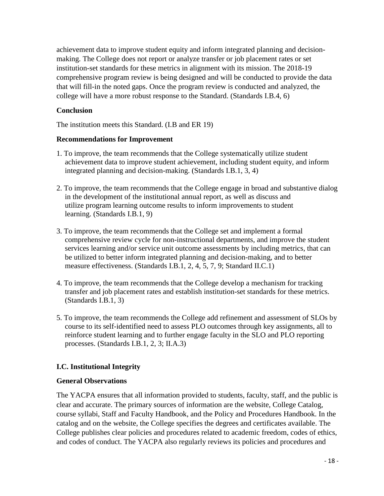achievement data to improve student equity and inform integrated planning and decisionmaking. The College does not report or analyze transfer or job placement rates or set institution-set standards for these metrics in alignment with its mission. The 2018-19 comprehensive program review is being designed and will be conducted to provide the data that will fill-in the noted gaps. Once the program review is conducted and analyzed, the college will have a more robust response to the Standard. (Standards I.B.4, 6)

# **Conclusion**

The institution meets this Standard. (I.B and ER 19)

### **Recommendations for Improvement**

- 1. To improve, the team recommends that the College systematically utilize student achievement data to improve student achievement, including student equity, and inform integrated planning and decision-making. (Standards I.B.1, 3, 4)
- 2. To improve, the team recommends that the College engage in broad and substantive dialog in the development of the institutional annual report, as well as discuss and utilize program learning outcome results to inform improvements to student learning. (Standards I.B.1, 9)
- 3. To improve, the team recommends that the College set and implement a formal comprehensive review cycle for non-instructional departments, and improve the student services learning and/or service unit outcome assessments by including metrics, that can be utilized to better inform integrated planning and decision-making, and to better measure effectiveness. (Standards I.B.1, 2, 4, 5, 7, 9; Standard II.C.1)
- 4. To improve, the team recommends that the College develop a mechanism for tracking transfer and job placement rates and establish institution-set standards for these metrics. (Standards I.B.1, 3)
- 5. To improve, the team recommends the College add refinement and assessment of SLOs by course to its self-identified need to assess PLO outcomes through key assignments, all to reinforce student learning and to further engage faculty in the SLO and PLO reporting processes. (Standards I.B.1, 2, 3; II.A.3)

# **I.C. Institutional Integrity**

# **General Observations**

The YACPA ensures that all information provided to students, faculty, staff, and the public is clear and accurate. The primary sources of information are the website, College Catalog, course syllabi, Staff and Faculty Handbook, and the Policy and Procedures Handbook. In the catalog and on the website, the College specifies the degrees and certificates available. The College publishes clear policies and procedures related to academic freedom, codes of ethics, and codes of conduct. The YACPA also regularly reviews its policies and procedures and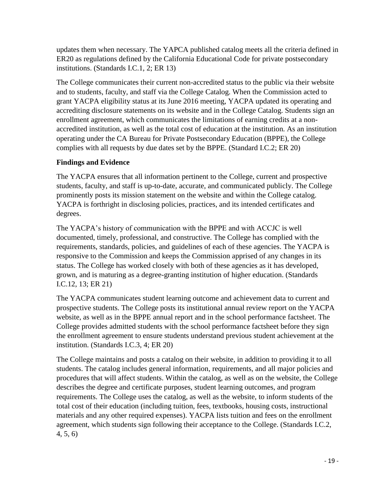updates them when necessary. The YAPCA published catalog meets all the criteria defined in ER20 as regulations defined by the California Educational Code for private postsecondary institutions. (Standards I.C.1, 2; ER 13)

The College communicates their current non-accredited status to the public via their website and to students, faculty, and staff via the College Catalog. When the Commission acted to grant YACPA eligibility status at its June 2016 meeting, YACPA updated its operating and accrediting disclosure statements on its website and in the College Catalog. Students sign an enrollment agreement, which communicates the limitations of earning credits at a nonaccredited institution, as well as the total cost of education at the institution. As an institution operating under the CA Bureau for Private Postsecondary Education (BPPE), the College complies with all requests by due dates set by the BPPE. (Standard I.C.2; ER 20)

# **Findings and Evidence**

The YACPA ensures that all information pertinent to the College, current and prospective students, faculty, and staff is up-to-date, accurate, and communicated publicly. The College prominently posts its mission statement on the website and within the College catalog. YACPA is forthright in disclosing policies, practices, and its intended certificates and degrees.

The YACPA's history of communication with the BPPE and with ACCJC is well documented, timely, professional, and constructive. The College has complied with the requirements, standards, policies, and guidelines of each of these agencies. The YACPA is responsive to the Commission and keeps the Commission apprised of any changes in its status. The College has worked closely with both of these agencies as it has developed, grown, and is maturing as a degree-granting institution of higher education. (Standards I.C.12, 13; ER 21)

The YACPA communicates student learning outcome and achievement data to current and prospective students. The College posts its institutional annual review report on the YACPA website, as well as in the BPPE annual report and in the school performance factsheet. The College provides admitted students with the school performance factsheet before they sign the enrollment agreement to ensure students understand previous student achievement at the institution. (Standards I.C.3, 4; ER 20)

The College maintains and posts a catalog on their website, in addition to providing it to all students. The catalog includes general information, requirements, and all major policies and procedures that will affect students. Within the catalog, as well as on the website, the College describes the degree and certificate purposes, student learning outcomes, and program requirements. The College uses the catalog, as well as the website, to inform students of the total cost of their education (including tuition, fees, textbooks, housing costs, instructional materials and any other required expenses). YACPA lists tuition and fees on the enrollment agreement, which students sign following their acceptance to the College. (Standards I.C.2, 4, 5, 6)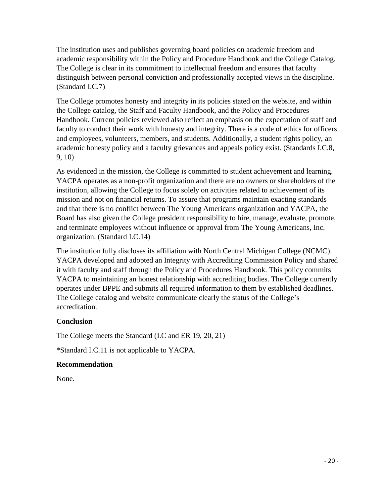The institution uses and publishes governing board policies on academic freedom and academic responsibility within the Policy and Procedure Handbook and the College Catalog. The College is clear in its commitment to intellectual freedom and ensures that faculty distinguish between personal conviction and professionally accepted views in the discipline. (Standard I.C.7)

The College promotes honesty and integrity in its policies stated on the website, and within the College catalog, the Staff and Faculty Handbook, and the Policy and Procedures Handbook. Current policies reviewed also reflect an emphasis on the expectation of staff and faculty to conduct their work with honesty and integrity. There is a code of ethics for officers and employees, volunteers, members, and students. Additionally, a student rights policy, an academic honesty policy and a faculty grievances and appeals policy exist. (Standards I.C.8, 9, 10)

As evidenced in the mission, the College is committed to student achievement and learning. YACPA operates as a non-profit organization and there are no owners or shareholders of the institution, allowing the College to focus solely on activities related to achievement of its mission and not on financial returns. To assure that programs maintain exacting standards and that there is no conflict between The Young Americans organization and YACPA, the Board has also given the College president responsibility to hire, manage, evaluate, promote, and terminate employees without influence or approval from The Young Americans, Inc. organization. (Standard I.C.14)

The institution fully discloses its affiliation with North Central Michigan College (NCMC). YACPA developed and adopted an Integrity with Accrediting Commission Policy and shared it with faculty and staff through the Policy and Procedures Handbook. This policy commits YACPA to maintaining an honest relationship with accrediting bodies. The College currently operates under BPPE and submits all required information to them by established deadlines. The College catalog and website communicate clearly the status of the College's accreditation.

# **Conclusion**

The College meets the Standard (I.C and ER 19, 20, 21)

\*Standard I.C.11 is not applicable to YACPA.

# **Recommendation**

None.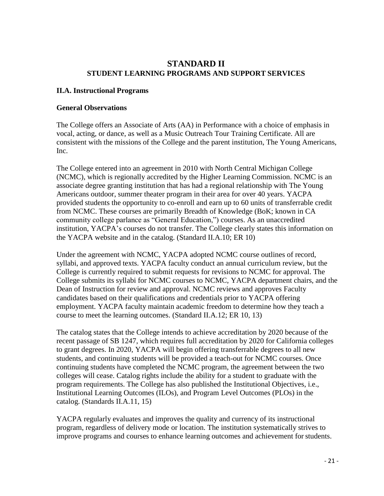# **STANDARD II STUDENT LEARNING PROGRAMS AND SUPPORT SERVICES**

#### **II.A. Instructional Programs**

#### **General Observations**

The College offers an Associate of Arts (AA) in Performance with a choice of emphasis in vocal, acting, or dance, as well as a Music Outreach Tour Training Certificate. All are consistent with the missions of the College and the parent institution, The Young Americans, Inc.

The College entered into an agreement in 2010 with North Central Michigan College (NCMC), which is regionally accredited by the Higher Learning Commission. NCMC is an associate degree granting institution that has had a regional relationship with The Young Americans outdoor, summer theater program in their area for over 40 years. YACPA provided students the opportunity to co-enroll and earn up to 60 units of transferrable credit from NCMC. These courses are primarily Breadth of Knowledge (BoK; known in CA community college parlance as "General Education,") courses. As an unaccredited institution, YACPA's courses do not transfer. The College clearly states this information on the YACPA website and in the catalog. (Standard II.A.10; ER 10)

Under the agreement with NCMC, YACPA adopted NCMC course outlines of record, syllabi, and approved texts. YACPA faculty conduct an annual curriculum review, but the College is currently required to submit requests for revisions to NCMC for approval. The College submits its syllabi for NCMC courses to NCMC, YACPA department chairs, and the Dean of Instruction for review and approval. NCMC reviews and approves Faculty candidates based on their qualifications and credentials prior to YACPA offering employment. YACPA faculty maintain academic freedom to determine how they teach a course to meet the learning outcomes. (Standard II.A.12; ER 10, 13)

The catalog states that the College intends to achieve accreditation by 2020 because of the recent passage of SB 1247, which requires full accreditation by 2020 for California colleges to grant degrees. In 2020, YACPA will begin offering transferrable degrees to all new students, and continuing students will be provided a teach-out for NCMC courses. Once continuing students have completed the NCMC program, the agreement between the two colleges will cease. Catalog rights include the ability for a student to graduate with the program requirements. The College has also published the Institutional Objectives, i.e., Institutional Learning Outcomes (ILOs), and Program Level Outcomes (PLOs) in the catalog. (Standards II.A.11, 15)

YACPA regularly evaluates and improves the quality and currency of its instructional program, regardless of delivery mode or location. The institution systematically strives to improve programs and courses to enhance learning outcomes and achievement forstudents.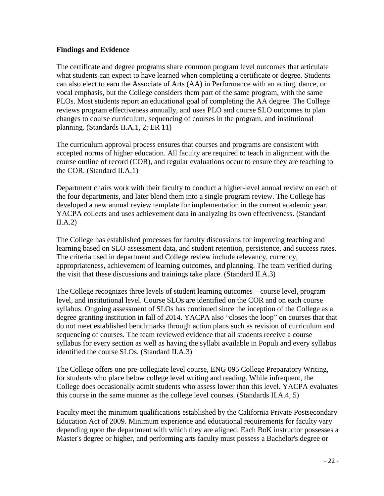## **Findings and Evidence**

The certificate and degree programs share common program level outcomes that articulate what students can expect to have learned when completing a certificate or degree. Students can also elect to earn the Associate of Arts (AA) in Performance with an acting, dance, or vocal emphasis, but the College considers them part of the same program, with the same PLOs. Most students report an educational goal of completing the AA degree. The College reviews program effectiveness annually, and uses PLO and course SLO outcomes to plan changes to course curriculum, sequencing of courses in the program, and institutional planning. (Standards II.A.1, 2; ER 11)

The curriculum approval process ensures that courses and programs are consistent with accepted norms of higher education. All faculty are required to teach in alignment with the course outline of record (COR), and regular evaluations occur to ensure they are teaching to the COR. (Standard II.A.1)

Department chairs work with their faculty to conduct a higher-level annual review on each of the four departments, and later blend them into a single program review. The College has developed a new annual review template for implementation in the current academic year. YACPA collects and uses achievement data in analyzing its own effectiveness. (Standard II.A.2)

The College has established processes for faculty discussions for improving teaching and learning based on SLO assessment data, and student retention, persistence, and success rates. The criteria used in department and College review include relevancy, currency, appropriateness, achievement of learning outcomes, and planning. The team verified during the visit that these discussions and trainings take place. (Standard II.A.3)

The College recognizes three levels of student learning outcomes—course level, program level, and institutional level. Course SLOs are identified on the COR and on each course syllabus. Ongoing assessment of SLOs has continued since the inception of the College as a degree granting institution in fall of 2014. YACPA also "closes the loop" on courses that that do not meet established benchmarks through action plans such as revision of curriculum and sequencing of courses. The team reviewed evidence that all students receive a course syllabus for every section as well as having the syllabi available in Populi and every syllabus identified the course SLOs. (Standard II.A.3)

The College offers one pre-collegiate level course, ENG 095 College Preparatory Writing, for students who place below college level writing and reading. While infrequent, the College does occasionally admit students who assess lower than this level. YACPA evaluates this course in the same manner as the college level courses. (Standards II.A.4, 5)

Faculty meet the minimum qualifications established by the California Private Postsecondary Education Act of 2009. Minimum experience and educational requirements for faculty vary depending upon the department with which they are aligned. Each BoK instructor possesses a Master's degree or higher, and performing arts faculty must possess a Bachelor's degree or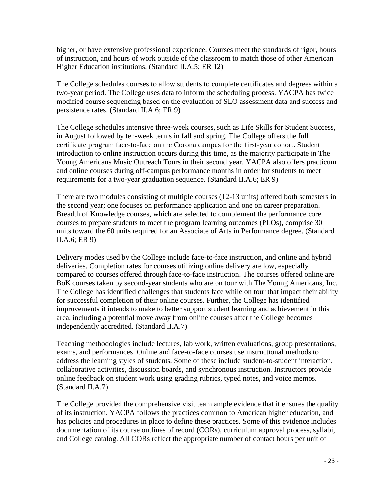higher, or have extensive professional experience. Courses meet the standards of rigor, hours of instruction, and hours of work outside of the classroom to match those of other American Higher Education institutions. (Standard II.A.5; ER 12)

The College schedules courses to allow students to complete certificates and degrees within a two-year period. The College uses data to inform the scheduling process. YACPA has twice modified course sequencing based on the evaluation of SLO assessment data and success and persistence rates. (Standard II.A.6; ER 9)

The College schedules intensive three-week courses, such as Life Skills for Student Success, in August followed by ten-week terms in fall and spring. The College offers the full certificate program face-to-face on the Corona campus for the first-year cohort. Student introduction to online instruction occurs during this time, as the majority participate in The Young Americans Music Outreach Tours in their second year. YACPA also offers practicum and online courses during off-campus performance months in order for students to meet requirements for a two-year graduation sequence. (Standard II.A.6; ER 9)

There are two modules consisting of multiple courses (12-13 units) offered both semesters in the second year; one focuses on performance application and one on career preparation. Breadth of Knowledge courses, which are selected to complement the performance core courses to prepare students to meet the program learning outcomes (PLOs), comprise 30 units toward the 60 units required for an Associate of Arts in Performance degree. (Standard II.A.6; ER 9)

Delivery modes used by the College include face-to-face instruction, and online and hybrid deliveries. Completion rates for courses utilizing online delivery are low, especially compared to courses offered through face-to-face instruction. The courses offered online are BoK courses taken by second-year students who are on tour with The Young Americans, Inc. The College has identified challenges that students face while on tour that impact their ability for successful completion of their online courses. Further, the College has identified improvements it intends to make to better support student learning and achievement in this area, including a potential move away from online courses after the College becomes independently accredited. (Standard II.A.7)

Teaching methodologies include lectures, lab work, written evaluations, group presentations, exams, and performances. Online and face-to-face courses use instructional methods to address the learning styles of students. Some of these include student-to-student interaction, collaborative activities, discussion boards, and synchronous instruction. Instructors provide online feedback on student work using grading rubrics, typed notes, and voice memos. (Standard II.A.7)

The College provided the comprehensive visit team ample evidence that it ensures the quality of its instruction. YACPA follows the practices common to American higher education, and has policies and procedures in place to define these practices. Some of this evidence includes documentation of its course outlines of record (CORs), curriculum approval process, syllabi, and College catalog. All CORs reflect the appropriate number of contact hours per unit of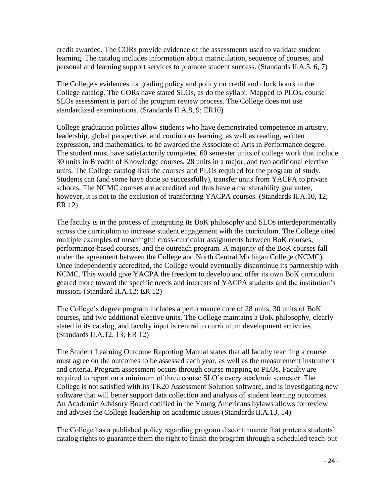credit awarded. The CORs provide evidence of the assessments used to validate student learning. The catalog includes information about matriculation, sequence of courses, and personal and learning support services to promote student success. (Standards II.A.5, 6, 7)

The College's evidences its grading policy and policy on credit and clock hours in the College catalog. The CORs have stated SLOs, as do the syllabi. Mapped to PLOs, course SLOs assessment is part of the program review process. The College does not use standardized examinations. (Standards II.A.8, 9; ER10)

College graduation policies allow students who have demonstrated competence in artistry, leadership, global perspective, and continuous learning, as well as reading, written expression, and mathematics, to be awarded the Associate of Arts in Performance degree. The student must have satisfactorily completed 60 semester units of college work that include 30 units in Breadth of Knowledge courses, 28 units in a major, and two additional elective units. The College catalog lists the courses and PLOs required for the program of study. Students can (and some have done so successfully), transfer units from YACPA to private schools. The NCMC courses are accredited and thus have a transferability guarantee, however, it is not to the exclusion of transferring YACPA courses. (Standards II.A.10, 12; ER 12)

The faculty is in the process of integrating its BoK philosophy and SLOs interdepartmentally across the curriculum to increase student engagement with the curriculum. The College cited multiple examples of meaningful cross-curricular assignments between BoK courses, performance-based courses, and the outreach program. A majority of the BoK courses fall under the agreement between the College and North Central Michigan College (NCMC). Once independently accredited, the College would eventually discontinue its partnership with NCMC. This would give YACPA the freedom to develop and offer its own BoK curriculum geared more toward the specific needs and interests of YACPA students and the institution's mission. (Standard II.A.12; ER 12)

The College's degree program includes a performance core of 28 units, 30 units of BoK courses, and two additional elective units. The College maintains a BoK philosophy, clearly stated in its catalog, and faculty input is central to curriculum development activities. (Standards II.A.12, 13; ER 12)

The Student Learning Outcome Reporting Manual states that all faculty teaching a course must agree on the outcomes to be assessed each year, as well as the measurement instrument and criteria. Program assessment occurs through course mapping to PLOs. Faculty are required to report on a minimum of three course SLO's every academic semester. The College is not satisfied with its TK20 Assessment Solution software, and is investigating new software that will better support data collection and analysis of student learning outcomes. An Academic Advisory Board codified in the Young Americans bylaws allows for review and advises the College leadership on academic issues (Standards II.A.13, 14)

The College has a published policy regarding program discontinuance that protects students' catalog rights to guarantee them the right to finish the program through a scheduled teach-out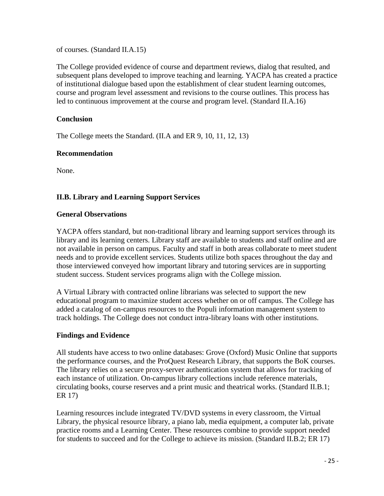of courses. (Standard II.A.15)

The College provided evidence of course and department reviews, dialog that resulted, and subsequent plans developed to improve teaching and learning. YACPA has created a practice of institutional dialogue based upon the establishment of clear student learning outcomes, course and program level assessment and revisions to the course outlines. This process has led to continuous improvement at the course and program level. (Standard II.A.16)

# **Conclusion**

The College meets the Standard. (II.A and ER 9, 10, 11, 12, 13)

# **Recommendation**

None.

# **II.B. Library and Learning Support Services**

### **General Observations**

YACPA offers standard, but non-traditional library and learning support services through its library and its learning centers. Library staff are available to students and staff online and are not available in person on campus. Faculty and staff in both areas collaborate to meet student needs and to provide excellent services. Students utilize both spaces throughout the day and those interviewed conveyed how important library and tutoring services are in supporting student success. Student services programs align with the College mission.

A Virtual Library with contracted online librarians was selected to support the new educational program to maximize student access whether on or off campus. The College has added a catalog of on-campus resources to the Populi information management system to track holdings. The College does not conduct intra-library loans with other institutions.

# **Findings and Evidence**

All students have access to two online databases: Grove (Oxford) Music Online that supports the performance courses, and the ProQuest Research Library, that supports the BoK courses. The library relies on a secure proxy-server authentication system that allows for tracking of each instance of utilization. On-campus library collections include reference materials, circulating books, course reserves and a print music and theatrical works. (Standard II.B.1; ER 17)

Learning resources include integrated TV/DVD systems in every classroom, the Virtual Library, the physical resource library, a piano lab, media equipment, a computer lab, private practice rooms and a Learning Center. These resources combine to provide support needed for students to succeed and for the College to achieve its mission. (Standard II.B.2; ER 17)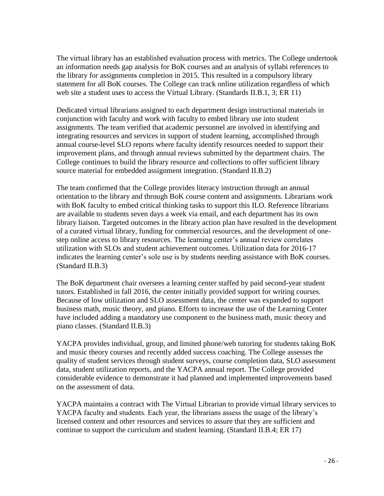The virtual library has an established evaluation process with metrics. The College undertook an information needs gap analysis for BoK courses and an analysis of syllabi references to the library for assignments completion in 2015. This resulted in a compulsory library statement for all BoK courses. The College can track online utilization regardless of which web site a student uses to access the Virtual Library. (Standards II.B.1, 3; ER 11)

Dedicated virtual librarians assigned to each department design instructional materials in conjunction with faculty and work with faculty to embed library use into student assignments. The team verified that academic personnel are involved in identifying and integrating resources and services in support of student learning, accomplished through annual course-level SLO reports where faculty identify resources needed to support their improvement plans, and through annual reviews submitted by the department chairs. The College continues to build the library resource and collections to offer sufficient library source material for embedded assignment integration. (Standard II.B.2)

The team confirmed that the College provides literacy instruction through an annual orientation to the library and through BoK course content and assignments. Librarians work with BoK faculty to embed critical thinking tasks to support this ILO. Reference librarians are available to students seven days a week via email, and each department has its own library liaison. Targeted outcomes in the library action plan have resulted in the development of a curated virtual library, funding for commercial resources, and the development of onestep online access to library resources. The learning center's annual review correlates utilization with SLOs and student achievement outcomes. Utilization data for 2016-17 indicates the learning center's sole use is by students needing assistance with BoK courses. (Standard II.B.3)

The BoK department chair oversees a learning center staffed by paid second-year student tutors. Established in fall 2016, the center initially provided support for writing courses. Because of low utilization and SLO assessment data, the center was expanded to support business math, music theory, and piano. Efforts to increase the use of the Learning Center have included adding a mandatory use component to the business math, music theory and piano classes. (Standard II.B.3)

YACPA provides individual, group, and limited phone/web tutoring for students taking BoK and music theory courses and recently added success coaching. The College assesses the quality of student services through student surveys, course completion data, SLO assessment data, student utilization reports, and the YACPA annual report. The College provided considerable evidence to demonstrate it had planned and implemented improvements based on the assessment of data.

YACPA maintains a contract with The Virtual Librarian to provide virtual library services to YACPA faculty and students. Each year, the librarians assess the usage of the library's licensed content and other resources and services to assure that they are sufficient and continue to support the curriculum and student learning. (Standard II.B.4; ER 17)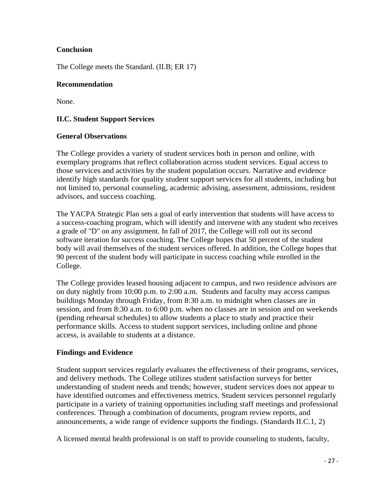# **Conclusion**

The College meets the Standard. (II.B; ER 17)

### **Recommendation**

None.

## **II.C. Student Support Services**

### **General Observations**

The College provides a variety of student services both in person and online, with exemplary programs that reflect collaboration across student services. Equal access to those services and activities by the student population occurs. Narrative and evidence identify high standards for quality student support services for all students, including but not limited to, personal counseling, academic advising, assessment, admissions, resident advisors, and success coaching.

The YACPA Strategic Plan sets a goal of early intervention that students will have access to a success-coaching program, which will identify and intervene with any student who receives a grade of "D" on any assignment. In fall of 2017, the College will roll out its second software iteration for success coaching. The College hopes that 50 percent of the student body will avail themselves of the student services offered. In addition, the College hopes that 90 percent of the student body will participate in success coaching while enrolled in the College.

The College provides leased housing adjacent to campus, and two residence advisors are on duty nightly from 10:00 p.m. to 2:00 a.m. Students and faculty may access campus buildings Monday through Friday, from 8:30 a.m. to midnight when classes are in session, and from 8:30 a.m. to 6:00 p.m. when no classes are in session and on weekends (pending rehearsal schedules) to allow students a place to study and practice their performance skills. Access to student support services, including online and phone access, is available to students at a distance.

# **Findings and Evidence**

Student support services regularly evaluates the effectiveness of their programs, services, and delivery methods. The College utilizes student satisfaction surveys for better understanding of student needs and trends; however, student services does not appear to have identified outcomes and effectiveness metrics. Student services personnel regularly participate in a variety of training opportunities including staff meetings and professional conferences. Through a combination of documents, program review reports, and announcements, a wide range of evidence supports the findings. (Standards II.C.1, 2)

A licensed mental health professional is on staff to provide counseling to students, faculty,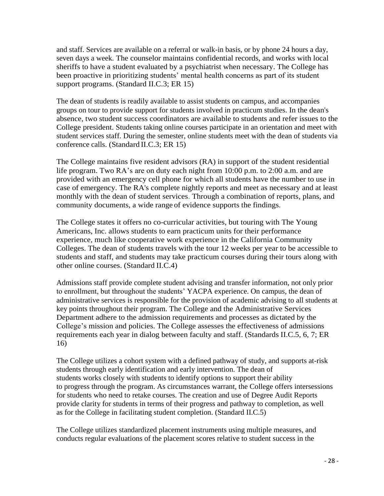and staff. Services are available on a referral or walk-in basis, or by phone 24 hours a day, seven days a week. The counselor maintains confidential records, and works with local sheriffs to have a student evaluated by a psychiatrist when necessary. The College has been proactive in prioritizing students' mental health concerns as part of its student support programs. (Standard II.C.3; ER 15)

The dean of students is readily available to assist students on campus, and accompanies groups on tour to provide support for students involved in practicum studies. In the dean's absence, two student success coordinators are available to students and refer issues to the College president. Students taking online courses participate in an orientation and meet with student services staff. During the semester, online students meet with the dean of students via conference calls. (Standard II.C.3; ER 15)

The College maintains five resident advisors (RA) in support of the student residential life program. Two RA's are on duty each night from 10:00 p.m. to 2:00 a.m. and are provided with an emergency cell phone for which all students have the number to use in case of emergency. The RA's complete nightly reports and meet as necessary and at least monthly with the dean of student services. Through a combination of reports, plans, and community documents, a wide range of evidence supports the findings.

The College states it offers no co-curricular activities, but touring with The Young Americans, Inc. allows students to earn practicum units for their performance experience, much like cooperative work experience in the California Community Colleges. The dean of students travels with the tour 12 weeks per year to be accessible to students and staff, and students may take practicum courses during their tours along with other online courses. (Standard II.C.4)

Admissions staff provide complete student advising and transfer information, not only prior to enrollment, but throughout the students' YACPA experience. On campus, the dean of administrative services is responsible for the provision of academic advising to all students at key points throughout their program. The College and the Administrative Services Department adhere to the admission requirements and processes as dictated by the College's mission and policies. The College assesses the effectiveness of admissions requirements each year in dialog between faculty and staff. (Standards II.C.5, 6, 7; ER 16)

The College utilizes a cohort system with a defined pathway of study, and supports at-risk students through early identification and early intervention. The dean of students works closely with students to identify options to support their ability to progress through the program. As circumstances warrant, the College offers intersessions for students who need to retake courses. The creation and use of Degree Audit Reports provide clarity for students in terms of their progress and pathway to completion, as well as for the College in facilitating student completion. (Standard II.C.5)

The College utilizes standardized placement instruments using multiple measures, and conducts regular evaluations of the placement scores relative to student success in the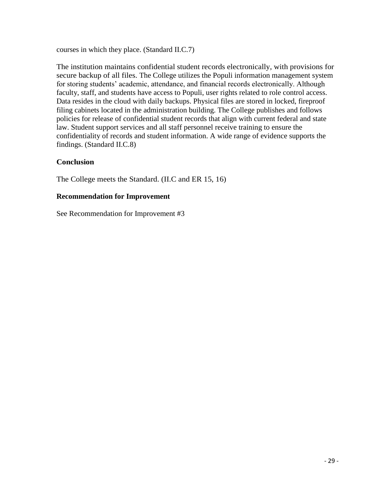courses in which they place. (Standard II.C.7)

The institution maintains confidential student records electronically, with provisions for secure backup of all files. The College utilizes the Populi information management system for storing students' academic, attendance, and financial records electronically. Although faculty, staff, and students have access to Populi, user rights related to role control access. Data resides in the cloud with daily backups. Physical files are stored in locked, fireproof filing cabinets located in the administration building. The College publishes and follows policies for release of confidential student records that align with current federal and state law. Student support services and all staff personnel receive training to ensure the confidentiality of records and student information. A wide range of evidence supports the findings. (Standard II.C.8)

# **Conclusion**

The College meets the Standard. (II.C and ER 15, 16)

### **Recommendation for Improvement**

See Recommendation for Improvement #3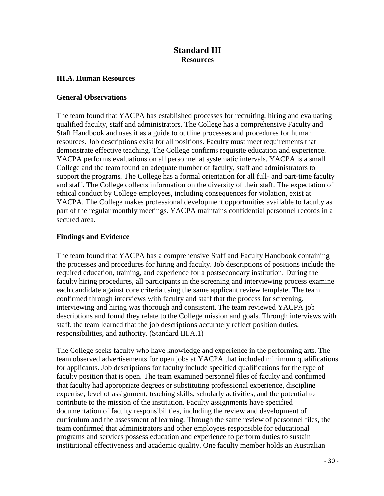# **Standard III Resources**

#### **III.A. Human Resources**

#### **General Observations**

The team found that YACPA has established processes for recruiting, hiring and evaluating qualified faculty, staff and administrators. The College has a comprehensive Faculty and Staff Handbook and uses it as a guide to outline processes and procedures for human resources. Job descriptions exist for all positions. Faculty must meet requirements that demonstrate effective teaching. The College confirms requisite education and experience. YACPA performs evaluations on all personnel at systematic intervals. YACPA is a small College and the team found an adequate number of faculty, staff and administrators to support the programs. The College has a formal orientation for all full- and part-time faculty and staff. The College collects information on the diversity of their staff. The expectation of ethical conduct by College employees, including consequences for violation, exist at YACPA. The College makes professional development opportunities available to faculty as part of the regular monthly meetings. YACPA maintains confidential personnel records in a secured area.

### **Findings and Evidence**

The team found that YACPA has a comprehensive Staff and Faculty Handbook containing the processes and procedures for hiring and faculty. Job descriptions of positions include the required education, training, and experience for a postsecondary institution. During the faculty hiring procedures, all participants in the screening and interviewing process examine each candidate against core criteria using the same applicant review template. The team confirmed through interviews with faculty and staff that the process for screening, interviewing and hiring was thorough and consistent. The team reviewed YACPA job descriptions and found they relate to the College mission and goals. Through interviews with staff, the team learned that the job descriptions accurately reflect position duties, responsibilities, and authority. (Standard III.A.1)

The College seeks faculty who have knowledge and experience in the performing arts. The team observed advertisements for open jobs at YACPA that included minimum qualifications for applicants. Job descriptions for faculty include specified qualifications for the type of faculty position that is open. The team examined personnel files of faculty and confirmed that faculty had appropriate degrees or substituting professional experience, discipline expertise, level of assignment, teaching skills, scholarly activities, and the potential to contribute to the mission of the institution. Faculty assignments have specified documentation of faculty responsibilities, including the review and development of curriculum and the assessment of learning. Through the same review of personnel files, the team confirmed that administrators and other employees responsible for educational programs and services possess education and experience to perform duties to sustain institutional effectiveness and academic quality. One faculty member holds an Australian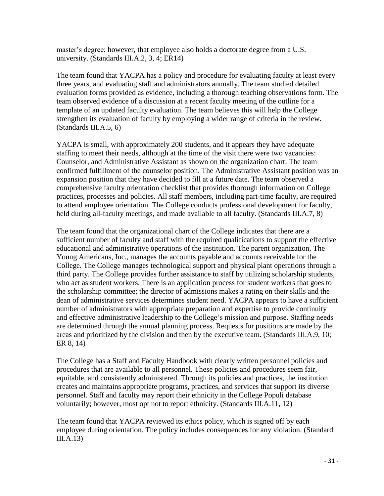master's degree; however, that employee also holds a doctorate degree from a U.S. university. (Standards III.A.2, 3, 4; ER14)

The team found that YACPA has a policy and procedure for evaluating faculty at least every three years, and evaluating staff and administrators annually. The team studied detailed evaluation forms provided as evidence, including a thorough teaching observations form. The team observed evidence of a discussion at a recent faculty meeting of the outline for a template of an updated faculty evaluation. The team believes this will help the College strengthen its evaluation of faculty by employing a wider range of criteria in the review. (Standards III.A.5, 6)

YACPA is small, with approximately 200 students, and it appears they have adequate staffing to meet their needs, although at the time of the visit there were two vacancies: Counselor, and Administrative Assistant as shown on the organization chart. The team confirmed fulfillment of the counselor position. The Administrative Assistant position was an expansion position that they have decided to fill at a future date. The team observed a comprehensive faculty orientation checklist that provides thorough information on College practices, processes and policies. All staff members, including part-time faculty, are required to attend employee orientation. The College conducts professional development for faculty, held during all-faculty meetings, and made available to all faculty. (Standards III.A.7, 8)

The team found that the organizational chart of the College indicates that there are a sufficient number of faculty and staff with the required qualifications to support the effective educational and administrative operations of the institution. The parent organization, The Young Americans, Inc., manages the accounts payable and accounts receivable for the College. The College manages technological support and physical plant operations through a third party. The College provides further assistance to staff by utilizing scholarship students, who act as student workers. There is an application process for student workers that goes to the scholarship committee; the director of admissions makes a rating on their skills and the dean of administrative services determines student need. YACPA appears to have a sufficient number of administrators with appropriate preparation and expertise to provide continuity and effective administrative leadership to the College's mission and purpose. Staffing needs are determined through the annual planning process. Requests for positions are made by the areas and prioritized by the division and then by the executive team. (Standards III.A.9, 10; ER 8, 14)

The College has a Staff and Faculty Handbook with clearly written personnel policies and procedures that are available to all personnel. These policies and procedures seem fair, equitable, and consistently administered. Through its policies and practices, the institution creates and maintains appropriate programs, practices, and services that support its diverse personnel. Staff and faculty may report their ethnicity in the College Populi database voluntarily; however, most opt not to report ethnicity. (Standards III.A.11, 12)

The team found that YACPA reviewed its ethics policy, which is signed off by each employee during orientation. The policy includes consequences for any violation. (Standard III.A.13)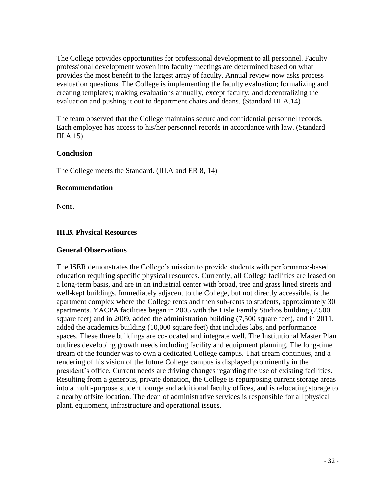The College provides opportunities for professional development to all personnel. Faculty professional development woven into faculty meetings are determined based on what provides the most benefit to the largest array of faculty. Annual review now asks process evaluation questions. The College is implementing the faculty evaluation; formalizing and creating templates; making evaluations annually, except faculty; and decentralizing the evaluation and pushing it out to department chairs and deans. (Standard III.A.14)

The team observed that the College maintains secure and confidential personnel records. Each employee has access to his/her personnel records in accordance with law. (Standard III.A.15)

### **Conclusion**

The College meets the Standard. (III.A and ER 8, 14)

#### **Recommendation**

None.

# **III.B. Physical Resources**

#### **General Observations**

The ISER demonstrates the College's mission to provide students with performance-based education requiring specific physical resources. Currently, all College facilities are leased on a long-term basis, and are in an industrial center with broad, tree and grass lined streets and well-kept buildings. Immediately adjacent to the College, but not directly accessible, is the apartment complex where the College rents and then sub-rents to students, approximately 30 apartments. YACPA facilities began in 2005 with the Lisle Family Studios building (7,500 square feet) and in 2009, added the administration building (7,500 square feet), and in 2011, added the academics building (10,000 square feet) that includes labs, and performance spaces. These three buildings are co-located and integrate well. The Institutional Master Plan outlines developing growth needs including facility and equipment planning. The long-time dream of the founder was to own a dedicated College campus. That dream continues, and a rendering of his vision of the future College campus is displayed prominently in the president's office. Current needs are driving changes regarding the use of existing facilities. Resulting from a generous, private donation, the College is repurposing current storage areas into a multi-purpose student lounge and additional faculty offices, and is relocating storage to a nearby offsite location. The dean of administrative services is responsible for all physical plant, equipment, infrastructure and operational issues.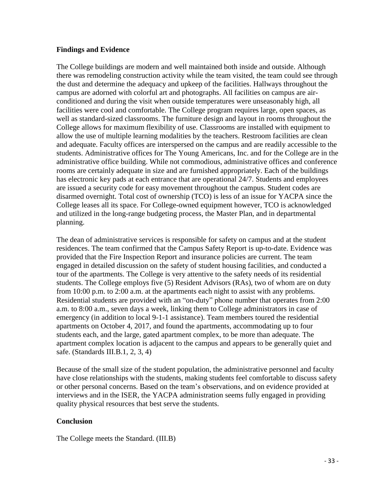### **Findings and Evidence**

The College buildings are modern and well maintained both inside and outside. Although there was remodeling construction activity while the team visited, the team could see through the dust and determine the adequacy and upkeep of the facilities. Hallways throughout the campus are adorned with colorful art and photographs. All facilities on campus are airconditioned and during the visit when outside temperatures were unseasonably high, all facilities were cool and comfortable. The College program requires large, open spaces, as well as standard-sized classrooms. The furniture design and layout in rooms throughout the College allows for maximum flexibility of use. Classrooms are installed with equipment to allow the use of multiple learning modalities by the teachers. Restroom facilities are clean and adequate. Faculty offices are interspersed on the campus and are readily accessible to the students. Administrative offices for The Young Americans, Inc. and for the College are in the administrative office building. While not commodious, administrative offices and conference rooms are certainly adequate in size and are furnished appropriately. Each of the buildings has electronic key pads at each entrance that are operational 24/7. Students and employees are issued a security code for easy movement throughout the campus. Student codes are disarmed overnight. Total cost of ownership (TCO) is less of an issue for YACPA since the College leases all its space. For College-owned equipment however, TCO is acknowledged and utilized in the long-range budgeting process, the Master Plan, and in departmental planning.

The dean of administrative services is responsible for safety on campus and at the student residences. The team confirmed that the Campus Safety Report is up-to-date. Evidence was provided that the Fire Inspection Report and insurance policies are current. The team engaged in detailed discussion on the safety of student housing facilities, and conducted a tour of the apartments. The College is very attentive to the safety needs of its residential students. The College employs five (5) Resident Advisors (RAs), two of whom are on duty from 10:00 p.m. to 2:00 a.m. at the apartments each night to assist with any problems. Residential students are provided with an "on-duty" phone number that operates from 2:00 a.m. to 8:00 a.m., seven days a week, linking them to College administrators in case of emergency (in addition to local 9-1-1 assistance). Team members toured the residential apartments on October 4, 2017, and found the apartments, accommodating up to four students each, and the large, gated apartment complex, to be more than adequate. The apartment complex location is adjacent to the campus and appears to be generally quiet and safe. (Standards III.B.1, 2, 3, 4)

Because of the small size of the student population, the administrative personnel and faculty have close relationships with the students, making students feel comfortable to discuss safety or other personal concerns. Based on the team's observations, and on evidence provided at interviews and in the ISER, the YACPA administration seems fully engaged in providing quality physical resources that best serve the students.

# **Conclusion**

The College meets the Standard. (III.B)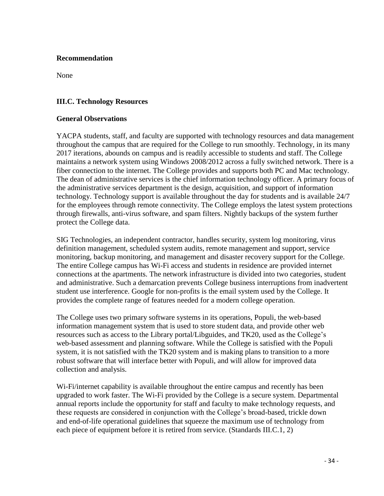### **Recommendation**

None

## **III.C. Technology Resources**

#### **General Observations**

YACPA students, staff, and faculty are supported with technology resources and data management throughout the campus that are required for the College to run smoothly. Technology, in its many 2017 iterations, abounds on campus and is readily accessible to students and staff. The College maintains a network system using Windows 2008/2012 across a fully switched network. There is a fiber connection to the internet. The College provides and supports both PC and Mac technology. The dean of administrative services is the chief information technology officer. A primary focus of the administrative services department is the design, acquisition, and support of information technology. Technology support is available throughout the day for students and is available 24/7 for the employees through remote connectivity. The College employs the latest system protections through firewalls, anti-virus software, and spam filters. Nightly backups of the system further protect the College data.

SIG Technologies, an independent contractor, handles security, system log monitoring, virus definition management, scheduled system audits, remote management and support, service monitoring, backup monitoring, and management and disaster recovery support for the College. The entire College campus has Wi-Fi access and students in residence are provided internet connections at the apartments. The network infrastructure is divided into two categories, student and administrative. Such a demarcation prevents College business interruptions from inadvertent student use interference. Google for non-profits is the email system used by the College. It provides the complete range of features needed for a modern college operation.

The College uses two primary software systems in its operations, Populi, the web-based information management system that is used to store student data, and provide other web resources such as access to the Library portal/Libguides, and TK20, used as the College's web-based assessment and planning software. While the College is satisfied with the Populi system, it is not satisfied with the TK20 system and is making plans to transition to a more robust software that will interface better with Populi, and will allow for improved data collection and analysis.

Wi-Fi/internet capability is available throughout the entire campus and recently has been upgraded to work faster. The Wi-Fi provided by the College is a secure system. Departmental annual reports include the opportunity for staff and faculty to make technology requests, and these requests are considered in conjunction with the College's broad-based, trickle down and end-of-life operational guidelines that squeeze the maximum use of technology from each piece of equipment before it is retired from service. (Standards III.C.1, 2)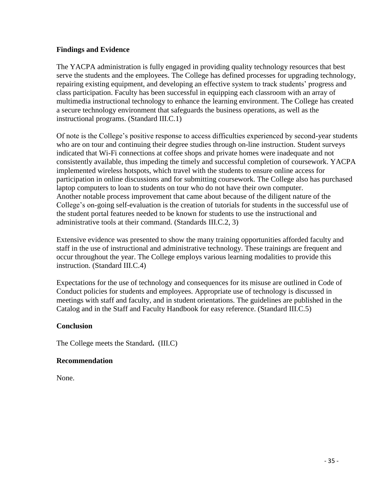## **Findings and Evidence**

The YACPA administration is fully engaged in providing quality technology resources that best serve the students and the employees. The College has defined processes for upgrading technology, repairing existing equipment, and developing an effective system to track students' progress and class participation. Faculty has been successful in equipping each classroom with an array of multimedia instructional technology to enhance the learning environment. The College has created a secure technology environment that safeguards the business operations, as well as the instructional programs. (Standard III.C.1)

Of note is the College's positive response to access difficulties experienced by second-year students who are on tour and continuing their degree studies through on-line instruction. Student surveys indicated that Wi-Fi connections at coffee shops and private homes were inadequate and not consistently available, thus impeding the timely and successful completion of coursework. YACPA implemented wireless hotspots, which travel with the students to ensure online access for participation in online discussions and for submitting coursework. The College also has purchased laptop computers to loan to students on tour who do not have their own computer. Another notable process improvement that came about because of the diligent nature of the College's on-going self-evaluation is the creation of tutorials for students in the successful use of the student portal features needed to be known for students to use the instructional and administrative tools at their command. (Standards III.C.2, 3)

Extensive evidence was presented to show the many training opportunities afforded faculty and staff in the use of instructional and administrative technology. These trainings are frequent and occur throughout the year. The College employs various learning modalities to provide this instruction. (Standard III.C.4)

Expectations for the use of technology and consequences for its misuse are outlined in Code of Conduct policies for students and employees. Appropriate use of technology is discussed in meetings with staff and faculty, and in student orientations. The guidelines are published in the Catalog and in the Staff and Faculty Handbook for easy reference. (Standard III.C.5)

# **Conclusion**

The College meets the Standard**.** (III.C)

#### **Recommendation**

None.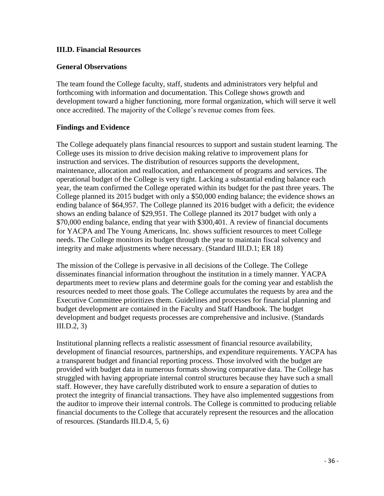### **III.D. Financial Resources**

### **General Observations**

The team found the College faculty, staff, students and administrators very helpful and forthcoming with information and documentation. This College shows growth and development toward a higher functioning, more formal organization, which will serve it well once accredited. The majority of the College's revenue comes from fees.

## **Findings and Evidence**

The College adequately plans financial resources to support and sustain student learning. The College uses its mission to drive decision making relative to improvement plans for instruction and services. The distribution of resources supports the development, maintenance, allocation and reallocation, and enhancement of programs and services. The operational budget of the College is very tight. Lacking a substantial ending balance each year, the team confirmed the College operated within its budget for the past three years. The College planned its 2015 budget with only a \$50,000 ending balance; the evidence shows an ending balance of \$64,957. The College planned its 2016 budget with a deficit; the evidence shows an ending balance of \$29,951. The College planned its 2017 budget with only a \$70,000 ending balance, ending that year with \$300,401. A review of financial documents for YACPA and The Young Americans, Inc. shows sufficient resources to meet College needs. The College monitors its budget through the year to maintain fiscal solvency and integrity and make adjustments where necessary. (Standard III.D.1; ER 18)

The mission of the College is pervasive in all decisions of the College. The College disseminates financial information throughout the institution in a timely manner. YACPA departments meet to review plans and determine goals for the coming year and establish the resources needed to meet those goals. The College accumulates the requests by area and the Executive Committee prioritizes them. Guidelines and processes for financial planning and budget development are contained in the Faculty and Staff Handbook. The budget development and budget requests processes are comprehensive and inclusive. (Standards III.D.2, 3)

Institutional planning reflects a realistic assessment of financial resource availability, development of financial resources, partnerships, and expenditure requirements. YACPA has a transparent budget and financial reporting process. Those involved with the budget are provided with budget data in numerous formats showing comparative data. The College has struggled with having appropriate internal control structures because they have such a small staff. However, they have carefully distributed work to ensure a separation of duties to protect the integrity of financial transactions. They have also implemented suggestions from the auditor to improve their internal controls. The College is committed to producing reliable financial documents to the College that accurately represent the resources and the allocation of resources. (Standards III.D.4, 5, 6)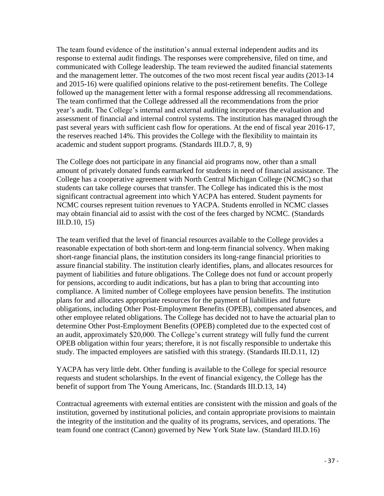The team found evidence of the institution's annual external independent audits and its response to external audit findings. The responses were comprehensive, filed on time, and communicated with College leadership. The team reviewed the audited financial statements and the management letter. The outcomes of the two most recent fiscal year audits (2013-14 and 2015-16) were qualified opinions relative to the post-retirement benefits. The College followed up the management letter with a formal response addressing all recommendations. The team confirmed that the College addressed all the recommendations from the prior year's audit. The College's internal and external auditing incorporates the evaluation and assessment of financial and internal control systems. The institution has managed through the past several years with sufficient cash flow for operations. At the end of fiscal year 2016-17, the reserves reached 14%. This provides the College with the flexibility to maintain its academic and student support programs. (Standards III.D.7, 8, 9)

The College does not participate in any financial aid programs now, other than a small amount of privately donated funds earmarked for students in need of financial assistance. The College has a cooperative agreement with North Central Michigan College (NCMC) so that students can take college courses that transfer. The College has indicated this is the most significant contractual agreement into which YACPA has entered. Student payments for NCMC courses represent tuition revenues to YACPA. Students enrolled in NCMC classes may obtain financial aid to assist with the cost of the fees charged by NCMC. (Standards III.D.10, 15)

The team verified that the level of financial resources available to the College provides a reasonable expectation of both short-term and long-term financial solvency. When making short-range financial plans, the institution considers its long-range financial priorities to assure financial stability. The institution clearly identifies, plans, and allocates resources for payment of liabilities and future obligations. The College does not fund or account properly for pensions, according to audit indications, but has a plan to bring that accounting into compliance. A limited number of College employees have pension benefits. The institution plans for and allocates appropriate resources for the payment of liabilities and future obligations, including Other Post-Employment Benefits (OPEB), compensated absences, and other employee related obligations. The College has decided not to have the actuarial plan to determine Other Post-Employment Benefits (OPEB) completed due to the expected cost of an audit, approximately \$20,000. The College's current strategy will fully fund the current OPEB obligation within four years; therefore, it is not fiscally responsible to undertake this study. The impacted employees are satisfied with this strategy. (Standards III.D.11, 12)

YACPA has very little debt. Other funding is available to the College for special resource requests and student scholarships. In the event of financial exigency, the College has the benefit of support from The Young Americans, Inc. (Standards III.D.13, 14)

Contractual agreements with external entities are consistent with the mission and goals of the institution, governed by institutional policies, and contain appropriate provisions to maintain the integrity of the institution and the quality of its programs, services, and operations. The team found one contract (Canon) governed by New York State law. (Standard III.D.16)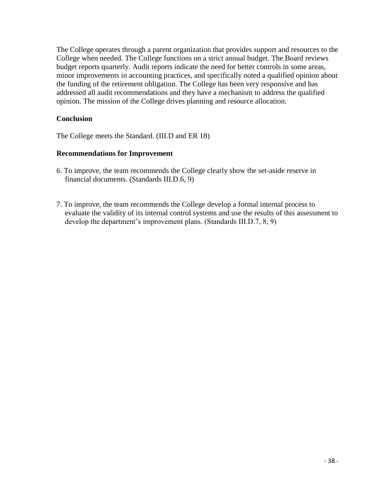The College operates through a parent organization that provides support and resources to the College when needed. The College functions on a strict annual budget. The Board reviews budget reports quarterly. Audit reports indicate the need for better controls in some areas, minor improvements in accounting practices, and specifically noted a qualified opinion about the funding of the retirement obligation. The College has been very responsive and has addressed all audit recommendations and they have a mechanism to address the qualified opinion. The mission of the College drives planning and resource allocation.

# **Conclusion**

The College meets the Standard. (III.D and ER 18)

# **Recommendations for Improvement**

- 6. To improve, the team recommends the College clearly show the set-aside reserve in financial documents. (Standards III.D.6, 9)
- 7. To improve, the team recommends the College develop a formal internal process to evaluate the validity of its internal control systems and use the results of this assessment to develop the department's improvement plans. (Standards III.D.7, 8, 9)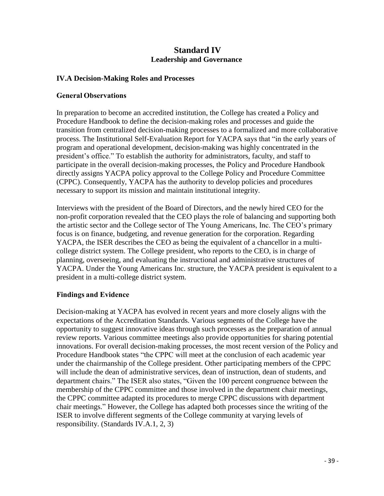# **Standard IV Leadership and Governance**

### **IV.A Decision-Making Roles and Processes**

#### **General Observations**

In preparation to become an accredited institution, the College has created a Policy and Procedure Handbook to define the decision-making roles and processes and guide the transition from centralized decision-making processes to a formalized and more collaborative process. The Institutional Self-Evaluation Report for YACPA says that "in the early years of program and operational development, decision-making was highly concentrated in the president's office." To establish the authority for administrators, faculty, and staff to participate in the overall decision-making processes, the Policy and Procedure Handbook directly assigns YACPA policy approval to the College Policy and Procedure Committee (CPPC). Consequently, YACPA has the authority to develop policies and procedures necessary to support its mission and maintain institutional integrity.

Interviews with the president of the Board of Directors, and the newly hired CEO for the non-profit corporation revealed that the CEO plays the role of balancing and supporting both the artistic sector and the College sector of The Young Americans, Inc. The CEO's primary focus is on finance, budgeting, and revenue generation for the corporation. Regarding YACPA, the ISER describes the CEO as being the equivalent of a chancellor in a multicollege district system. The College president, who reports to the CEO, is in charge of planning, overseeing, and evaluating the instructional and administrative structures of YACPA. Under the Young Americans Inc. structure, the YACPA president is equivalent to a president in a multi-college district system.

# **Findings and Evidence**

Decision-making at YACPA has evolved in recent years and more closely aligns with the expectations of the Accreditation Standards. Various segments of the College have the opportunity to suggest innovative ideas through such processes as the preparation of annual review reports. Various committee meetings also provide opportunities for sharing potential innovations. For overall decision-making processes, the most recent version of the Policy and Procedure Handbook states "the CPPC will meet at the conclusion of each academic year under the chairmanship of the College president. Other participating members of the CPPC will include the dean of administrative services, dean of instruction, dean of students, and department chairs." The ISER also states, "Given the 100 percent congruence between the membership of the CPPC committee and those involved in the department chair meetings, the CPPC committee adapted its procedures to merge CPPC discussions with department chair meetings." However, the College has adapted both processes since the writing of the ISER to involve different segments of the College community at varying levels of responsibility. (Standards IV.A.1, 2, 3)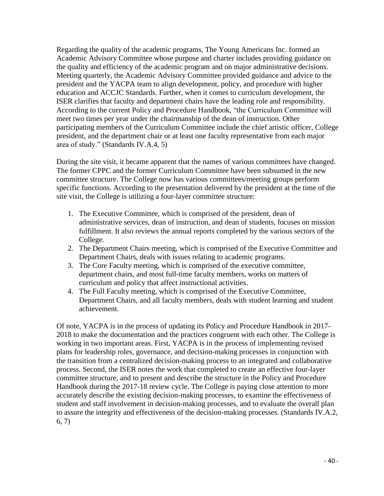Regarding the quality of the academic programs, The Young Americans Inc. formed an Academic Advisory Committee whose purpose and charter includes providing guidance on the quality and efficiency of the academic program and on major administrative decisions. Meeting quarterly, the Academic Advisory Committee provided guidance and advice to the president and the YACPA team to align development, policy, and procedure with higher education and ACCJC Standards. Further, when it comes to curriculum development, the ISER clarifies that faculty and department chairs have the leading role and responsibility. According to the current Policy and Procedure Handbook, "the Curriculum Committee will meet two times per year under the chairmanship of the dean of instruction. Other participating members of the Curriculum Committee include the chief artistic officer, College president, and the department chair or at least one faculty representative from each major area of study." (Standards IV.A.4, 5)

During the site visit, it became apparent that the names of various committees have changed. The former CPPC and the former Curriculum Committee have been subsumed in the new committee structure. The College now has various committees/meeting groups perform specific functions. According to the presentation delivered by the president at the time of the site visit, the College is utilizing a four-layer committee structure:

- 1. The Executive Committee, which is comprised of the president, dean of administrative services, dean of instruction, and dean of students, focuses on mission fulfillment. It also reviews the annual reports completed by the various sectors of the College.
- 2. The Department Chairs meeting, which is comprised of the Executive Committee and Department Chairs, deals with issues relating to academic programs.
- 3. The Core Faculty meeting, which is comprised of the executive committee, department chairs, and most full-time faculty members, works on matters of curriculum and policy that affect instructional activities.
- 4. The Full Faculty meeting, which is comprised of the Executive Committee, Department Chairs, and all faculty members, deals with student learning and student achievement.

Of note, YACPA is in the process of updating its Policy and Procedure Handbook in 2017- 2018 to make the documentation and the practices congruent with each other. The College is working in two important areas. First, YACPA is in the process of implementing revised plans for leadership roles, governance, and decision-making processes in conjunction with the transition from a centralized decision-making process to an integrated and collaborative process. Second, the ISER notes the work that completed to create an effective four-layer committee structure, and to present and describe the structure in the Policy and Procedure Handbook during the 2017-18 review cycle. The College is paying close attention to more accurately describe the existing decision-making processes, to examine the effectiveness of student and staff involvement in decision-making processes, and to evaluate the overall plan to assure the integrity and effectiveness of the decision-making processes. (Standards IV.A.2, 6, 7)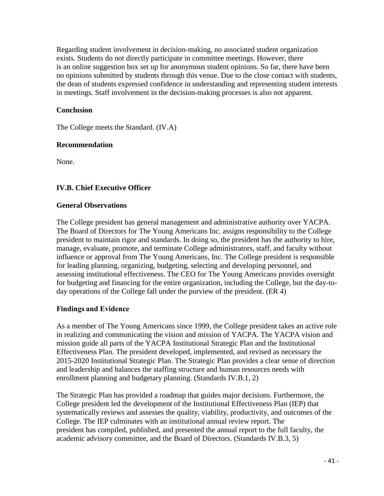Regarding student involvement in decision-making, no associated student organization exists. Students do not directly participate in committee meetings. However, there is an online suggestion box set up for anonymous student opinions. So far, there have been no opinions submitted by students through this venue. Due to the close contact with students, the dean of students expressed confidence in understanding and representing student interests in meetings. Staff involvement in the decision-making processes is also not apparent.

# **Conclusion**

The College meets the Standard. (IV.A)

#### **Recommendation**

None.

# **IV.B. Chief Executive Officer**

### **General Observations**

The College president has general management and administrative authority over YACPA. The Board of Directors for The Young Americans Inc. assigns responsibility to the College president to maintain rigor and standards. In doing so, the president has the authority to hire, manage, evaluate, promote, and terminate College administrators, staff, and faculty without influence or approval from The Young Americans, Inc. The College president is responsible for leading planning, organizing, budgeting, selecting and developing personnel, and assessing institutional effectiveness. The CEO for The Young Americans provides oversight for budgeting and financing for the entire organization, including the College, but the day-today operations of the College fall under the purview of the president. (ER 4)

# **Findings and Evidence**

As a member of The Young Americans since 1999, the College president takes an active role in realizing and communicating the vision and mission of YACPA. The YACPA vision and mission guide all parts of the YACPA Institutional Strategic Plan and the Institutional Effectiveness Plan. The president developed, implemented, and revised as necessary the 2015-2020 Institutional Strategic Plan. The Strategic Plan provides a clear sense of direction and leadership and balances the staffing structure and human resources needs with enrollment planning and budgetary planning. (Standards IV.B.1, 2)

The Strategic Plan has provided a roadmap that guides major decisions. Furthermore, the College president led the development of the Institutional Effectiveness Plan (IEP) that systematically reviews and assesses the quality, viability, productivity, and outcomes of the College. The IEP culminates with an institutional annual review report. The president has compiled, published, and presented the annual report to the full faculty, the academic advisory committee, and the Board of Directors. (Standards IV.B.3, 5)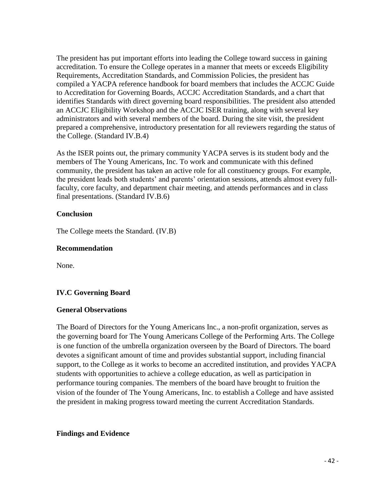The president has put important efforts into leading the College toward success in gaining accreditation. To ensure the College operates in a manner that meets or exceeds Eligibility Requirements, Accreditation Standards, and Commission Policies, the president has compiled a YACPA reference handbook for board members that includes the ACCJC Guide to Accreditation for Governing Boards, ACCJC Accreditation Standards, and a chart that identifies Standards with direct governing board responsibilities. The president also attended an ACCJC Eligibility Workshop and the ACCJC ISER training, along with several key administrators and with several members of the board. During the site visit, the president prepared a comprehensive, introductory presentation for all reviewers regarding the status of the College. (Standard IV.B.4)

As the ISER points out, the primary community YACPA serves is its student body and the members of The Young Americans, Inc. To work and communicate with this defined community, the president has taken an active role for all constituency groups. For example, the president leads both students' and parents' orientation sessions, attends almost every fullfaculty, core faculty, and department chair meeting, and attends performances and in class final presentations. (Standard IV.B.6)

### **Conclusion**

The College meets the Standard. (IV.B)

#### **Recommendation**

None.

# **IV.C Governing Board**

#### **General Observations**

The Board of Directors for the Young Americans Inc., a non-profit organization, serves as the governing board for The Young Americans College of the Performing Arts. The College is one function of the umbrella organization overseen by the Board of Directors. The board devotes a significant amount of time and provides substantial support, including financial support, to the College as it works to become an accredited institution, and provides YACPA students with opportunities to achieve a college education, as well as participation in performance touring companies. The members of the board have brought to fruition the vision of the founder of The Young Americans, Inc. to establish a College and have assisted the president in making progress toward meeting the current Accreditation Standards.

#### **Findings and Evidence**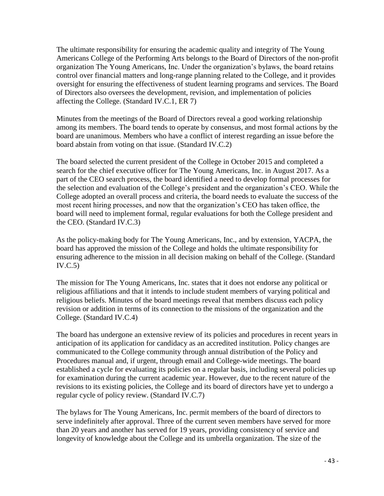The ultimate responsibility for ensuring the academic quality and integrity of The Young Americans College of the Performing Arts belongs to the Board of Directors of the non-profit organization The Young Americans, Inc. Under the organization's bylaws, the board retains control over financial matters and long-range planning related to the College, and it provides oversight for ensuring the effectiveness of student learning programs and services. The Board of Directors also oversees the development, revision, and implementation of policies affecting the College. (Standard IV.C.1, ER 7)

Minutes from the meetings of the Board of Directors reveal a good working relationship among its members. The board tends to operate by consensus, and most formal actions by the board are unanimous. Members who have a conflict of interest regarding an issue before the board abstain from voting on that issue. (Standard IV.C.2)

The board selected the current president of the College in October 2015 and completed a search for the chief executive officer for The Young Americans, Inc. in August 2017. As a part of the CEO search process, the board identified a need to develop formal processes for the selection and evaluation of the College's president and the organization's CEO. While the College adopted an overall process and criteria, the board needs to evaluate the success of the most recent hiring processes, and now that the organization's CEO has taken office, the board will need to implement formal, regular evaluations for both the College president and the CEO. (Standard IV.C.3)

As the policy-making body for The Young Americans, Inc., and by extension, YACPA, the board has approved the mission of the College and holds the ultimate responsibility for ensuring adherence to the mission in all decision making on behalf of the College. (Standard  $IV.C.5)$ 

The mission for The Young Americans, Inc. states that it does not endorse any political or religious affiliations and that it intends to include student members of varying political and religious beliefs. Minutes of the board meetings reveal that members discuss each policy revision or addition in terms of its connection to the missions of the organization and the College. (Standard IV.C.4)

The board has undergone an extensive review of its policies and procedures in recent years in anticipation of its application for candidacy as an accredited institution. Policy changes are communicated to the College community through annual distribution of the Policy and Procedures manual and, if urgent, through email and College-wide meetings. The board established a cycle for evaluating its policies on a regular basis, including several policies up for examination during the current academic year. However, due to the recent nature of the revisions to its existing policies, the College and its board of directors have yet to undergo a regular cycle of policy review. (Standard IV.C.7)

The bylaws for The Young Americans, Inc. permit members of the board of directors to serve indefinitely after approval. Three of the current seven members have served for more than 20 years and another has served for 19 years, providing consistency of service and longevity of knowledge about the College and its umbrella organization. The size of the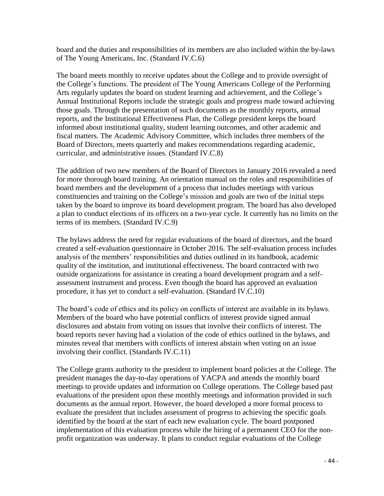board and the duties and responsibilities of its members are also included within the by-laws of The Young Americans, Inc. (Standard IV.C.6)

The board meets monthly to receive updates about the College and to provide oversight of the College's functions. The president of The Young Americans College of the Performing Arts regularly updates the board on student learning and achievement, and the College's Annual Institutional Reports include the strategic goals and progress made toward achieving those goals. Through the presentation of such documents as the monthly reports, annual reports, and the Institutional Effectiveness Plan, the College president keeps the board informed about institutional quality, student learning outcomes, and other academic and fiscal matters. The Academic Advisory Committee, which includes three members of the Board of Directors, meets quarterly and makes recommendations regarding academic, curricular, and administrative issues. (Standard IV.C.8)

The addition of two new members of the Board of Directors in January 2016 revealed a need for more thorough board training. An orientation manual on the roles and responsibilities of board members and the development of a process that includes meetings with various constituencies and training on the College's mission and goals are two of the initial steps taken by the board to improve its board development program. The board has also developed a plan to conduct elections of its officers on a two-year cycle. It currently has no limits on the terms of its members. (Standard IV.C.9)

The bylaws address the need for regular evaluations of the board of directors, and the board created a self-evaluation questionnaire in October 2016. The self-evaluation process includes analysis of the members' responsibilities and duties outlined in its handbook, academic quality of the institution, and institutional effectiveness. The board contracted with two outside organizations for assistance in creating a board development program and a selfassessment instrument and process. Even though the board has approved an evaluation procedure, it has yet to conduct a self-evaluation. (Standard IV.C.10)

The board's code of ethics and its policy on conflicts of interest are available in its bylaws. Members of the board who have potential conflicts of interest provide signed annual disclosures and abstain from voting on issues that involve their conflicts of interest. The board reports never having had a violation of the code of ethics outlined in the bylaws, and minutes reveal that members with conflicts of interest abstain when voting on an issue involving their conflict. (Standards IV.C.11)

The College grants authority to the president to implement board policies at the College. The president manages the day-to-day operations of YACPA and attends the monthly board meetings to provide updates and information on College operations. The College based past evaluations of the president upon these monthly meetings and information provided in such documents as the annual report. However, the board developed a more formal process to evaluate the president that includes assessment of progress to achieving the specific goals identified by the board at the start of each new evaluation cycle. The board postponed implementation of this evaluation process while the hiring of a permanent CEO for the nonprofit organization was underway. It plans to conduct regular evaluations of the College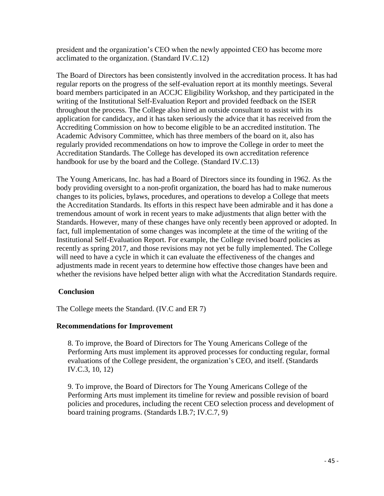president and the organization's CEO when the newly appointed CEO has become more acclimated to the organization. (Standard IV.C.12)

The Board of Directors has been consistently involved in the accreditation process. It has had regular reports on the progress of the self-evaluation report at its monthly meetings. Several board members participated in an ACCJC Eligibility Workshop, and they participated in the writing of the Institutional Self-Evaluation Report and provided feedback on the ISER throughout the process. The College also hired an outside consultant to assist with its application for candidacy, and it has taken seriously the advice that it has received from the Accrediting Commission on how to become eligible to be an accredited institution. The Academic Advisory Committee, which has three members of the board on it, also has regularly provided recommendations on how to improve the College in order to meet the Accreditation Standards. The College has developed its own accreditation reference handbook for use by the board and the College. (Standard IV.C.13)

The Young Americans, Inc. has had a Board of Directors since its founding in 1962. As the body providing oversight to a non-profit organization, the board has had to make numerous changes to its policies, bylaws, procedures, and operations to develop a College that meets the Accreditation Standards. Its efforts in this respect have been admirable and it has done a tremendous amount of work in recent years to make adjustments that align better with the Standards. However, many of these changes have only recently been approved or adopted. In fact, full implementation of some changes was incomplete at the time of the writing of the Institutional Self-Evaluation Report. For example, the College revised board policies as recently as spring 2017, and those revisions may not yet be fully implemented. The College will need to have a cycle in which it can evaluate the effectiveness of the changes and adjustments made in recent years to determine how effective those changes have been and whether the revisions have helped better align with what the Accreditation Standards require.

#### **Conclusion**

The College meets the Standard. (IV.C and ER 7)

#### **Recommendations for Improvement**

8. To improve, the Board of Directors for The Young Americans College of the Performing Arts must implement its approved processes for conducting regular, formal evaluations of the College president, the organization's CEO, and itself. (Standards IV.C.3, 10, 12)

9. To improve, the Board of Directors for The Young Americans College of the Performing Arts must implement its timeline for review and possible revision of board policies and procedures, including the recent CEO selection process and development of board training programs. (Standards I.B.7; IV.C.7, 9)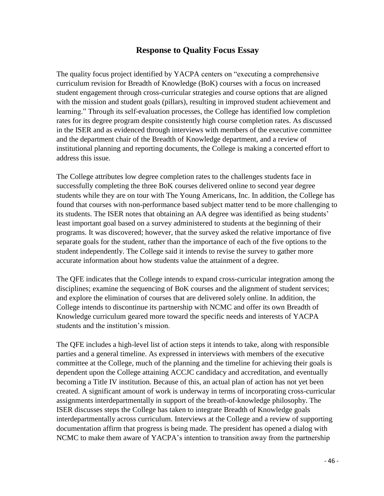# **Response to Quality Focus Essay**

The quality focus project identified by YACPA centers on "executing a comprehensive curriculum revision for Breadth of Knowledge (BoK) courses with a focus on increased student engagement through cross-curricular strategies and course options that are aligned with the mission and student goals (pillars), resulting in improved student achievement and learning." Through its self-evaluation processes, the College has identified low completion rates for its degree program despite consistently high course completion rates. As discussed in the ISER and as evidenced through interviews with members of the executive committee and the department chair of the Breadth of Knowledge department, and a review of institutional planning and reporting documents, the College is making a concerted effort to address this issue.

The College attributes low degree completion rates to the challenges students face in successfully completing the three BoK courses delivered online to second year degree students while they are on tour with The Young Americans, Inc. In addition, the College has found that courses with non-performance based subject matter tend to be more challenging to its students. The ISER notes that obtaining an AA degree was identified as being students' least important goal based on a survey administered to students at the beginning of their programs. It was discovered; however, that the survey asked the relative importance of five separate goals for the student, rather than the importance of each of the five options to the student independently. The College said it intends to revise the survey to gather more accurate information about how students value the attainment of a degree.

The QFE indicates that the College intends to expand cross-curricular integration among the disciplines; examine the sequencing of BoK courses and the alignment of student services; and explore the elimination of courses that are delivered solely online. In addition, the College intends to discontinue its partnership with NCMC and offer its own Breadth of Knowledge curriculum geared more toward the specific needs and interests of YACPA students and the institution's mission.

The QFE includes a high-level list of action steps it intends to take, along with responsible parties and a general timeline. As expressed in interviews with members of the executive committee at the College, much of the planning and the timeline for achieving their goals is dependent upon the College attaining ACCJC candidacy and accreditation, and eventually becoming a Title IV institution. Because of this, an actual plan of action has not yet been created. A significant amount of work is underway in terms of incorporating cross-curricular assignments interdepartmentally in support of the breath-of-knowledge philosophy. The ISER discusses steps the College has taken to integrate Breadth of Knowledge goals interdepartmentally across curriculum. Interviews at the College and a review of supporting documentation affirm that progress is being made. The president has opened a dialog with NCMC to make them aware of YACPA's intention to transition away from the partnership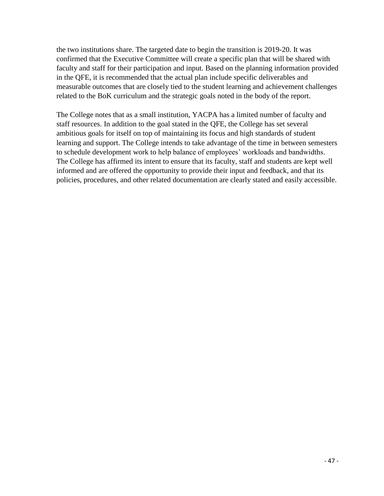the two institutions share. The targeted date to begin the transition is 2019-20. It was confirmed that the Executive Committee will create a specific plan that will be shared with faculty and staff for their participation and input. Based on the planning information provided in the QFE, it is recommended that the actual plan include specific deliverables and measurable outcomes that are closely tied to the student learning and achievement challenges related to the BoK curriculum and the strategic goals noted in the body of the report.

The College notes that as a small institution, YACPA has a limited number of faculty and staff resources. In addition to the goal stated in the QFE, the College has set several ambitious goals for itself on top of maintaining its focus and high standards of student learning and support. The College intends to take advantage of the time in between semesters to schedule development work to help balance of employees' workloads and bandwidths. The College has affirmed its intent to ensure that its faculty, staff and students are kept well informed and are offered the opportunity to provide their input and feedback, and that its policies, procedures, and other related documentation are clearly stated and easily accessible.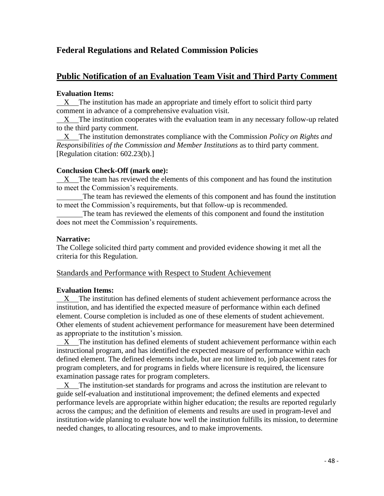# **Federal Regulations and Related Commission Policies**

# **Public Notification of an Evaluation Team Visit and Third Party Comment**

### **Evaluation Items:**

 $X$  The institution has made an appropriate and timely effort to solicit third party comment in advance of a comprehensive evaluation visit.

 X The institution cooperates with the evaluation team in any necessary follow-up related to the third party comment.

 X The institution demonstrates compliance with the Commission *Policy on Rights and Responsibilities of the Commission and Member Institutions* as to third party comment. [Regulation citation: 602.23(b).]

### **Conclusion Check-Off (mark one):**

 X The team has reviewed the elements of this component and has found the institution to meet the Commission's requirements.

 The team has reviewed the elements of this component and has found the institution to meet the Commission's requirements, but that follow-up is recommended.

 The team has reviewed the elements of this component and found the institution does not meet the Commission's requirements.

### **Narrative:**

The College solicited third party comment and provided evidence showing it met all the criteria for this Regulation.

# Standards and Performance with Respect to Student Achievement

#### **Evaluation Items:**

 X The institution has defined elements of student achievement performance across the institution, and has identified the expected measure of performance within each defined element. Course completion is included as one of these elements of student achievement. Other elements of student achievement performance for measurement have been determined as appropriate to the institution's mission.

 X The institution has defined elements of student achievement performance within each instructional program, and has identified the expected measure of performance within each defined element. The defined elements include, but are not limited to, job placement rates for program completers, and for programs in fields where licensure is required, the licensure examination passage rates for program completers.

 X The institution-set standards for programs and across the institution are relevant to guide self-evaluation and institutional improvement; the defined elements and expected performance levels are appropriate within higher education; the results are reported regularly across the campus; and the definition of elements and results are used in program-level and institution-wide planning to evaluate how well the institution fulfills its mission, to determine needed changes, to allocating resources, and to make improvements.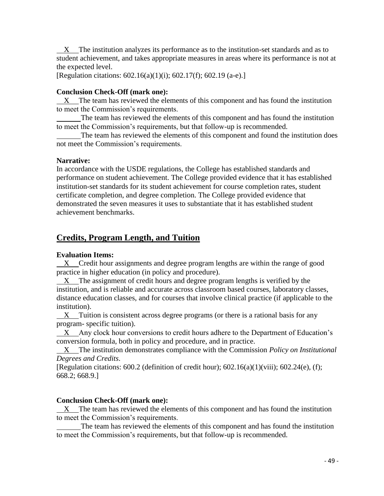$X$  The institution analyzes its performance as to the institution-set standards and as to student achievement, and takes appropriate measures in areas where its performance is not at the expected level.

[Regulation citations: 602.16(a)(1)(i); 602.17(f); 602.19 (a-e).]

#### **Conclusion Check-Off (mark one):**

 X The team has reviewed the elements of this component and has found the institution to meet the Commission's requirements.

 The team has reviewed the elements of this component and has found the institution to meet the Commission's requirements, but that follow-up is recommended.

 The team has reviewed the elements of this component and found the institution does not meet the Commission's requirements.

#### **Narrative:**

In accordance with the USDE regulations, the College has established standards and performance on student achievement. The College provided evidence that it has established institution-set standards for its student achievement for course completion rates, student certificate completion, and degree completion. The College provided evidence that demonstrated the seven measures it uses to substantiate that it has established student achievement benchmarks.

# **Credits, Program Length, and Tuition**

#### **Evaluation Items:**

 $X$  Credit hour assignments and degree program lengths are within the range of good practice in higher education (in policy and procedure).

 $X$  The assignment of credit hours and degree program lengths is verified by the institution, and is reliable and accurate across classroom based courses, laboratory classes, distance education classes, and for courses that involve clinical practice (if applicable to the institution).

 $X$  Tuition is consistent across degree programs (or there is a rational basis for any program- specific tuition).

 $X$  Any clock hour conversions to credit hours adhere to the Department of Education's conversion formula, both in policy and procedure, and in practice.

 X The institution demonstrates compliance with the Commission *Policy on Institutional Degrees and Credits*.

[Regulation citations:  $600.2$  (definition of credit hour);  $602.16(a)(1)(viii)$ ;  $602.24(e)$ , (f); 668.2; 668.9.]

#### **Conclusion Check-Off (mark one):**

 $X$  The team has reviewed the elements of this component and has found the institution to meet the Commission's requirements.

 The team has reviewed the elements of this component and has found the institution to meet the Commission's requirements, but that follow-up is recommended.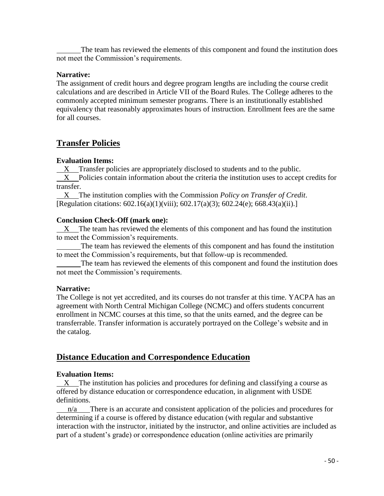The team has reviewed the elements of this component and found the institution does not meet the Commission's requirements.

#### **Narrative:**

The assignment of credit hours and degree program lengths are including the course credit calculations and are described in Article VII of the Board Rules. The College adheres to the commonly accepted minimum semester programs. There is an institutionally established equivalency that reasonably approximates hours of instruction*.* Enrollment fees are the same for all courses.

# **Transfer Policies**

# **Evaluation Items:**

X Transfer policies are appropriately disclosed to students and to the public.

 X Policies contain information about the criteria the institution uses to accept credits for transfer.

 X The institution complies with the Commission *Policy on Transfer of Credit*. [Regulation citations: 602.16(a)(1)(viii); 602.17(a)(3); 602.24(e); 668.43(a)(ii).]

# **Conclusion Check-Off (mark one):**

 X The team has reviewed the elements of this component and has found the institution to meet the Commission's requirements.

 The team has reviewed the elements of this component and has found the institution to meet the Commission's requirements, but that follow-up is recommended.

 The team has reviewed the elements of this component and found the institution does not meet the Commission's requirements.

# **Narrative:**

The College is not yet accredited, and its courses do not transfer at this time. YACPA has an agreement with North Central Michigan College (NCMC) and offers students concurrent enrollment in NCMC courses at this time, so that the units earned, and the degree can be transferrable. Transfer information is accurately portrayed on the College's website and in the catalog.

# **Distance Education and Correspondence Education**

# **Evaluation Items:**

 $X$  The institution has policies and procedures for defining and classifying a course as offered by distance education or correspondence education, in alignment with USDE definitions.

 $n/a$  There is an accurate and consistent application of the policies and procedures for determining if a course is offered by distance education (with regular and substantive interaction with the instructor, initiated by the instructor, and online activities are included as part of a student's grade) or correspondence education (online activities are primarily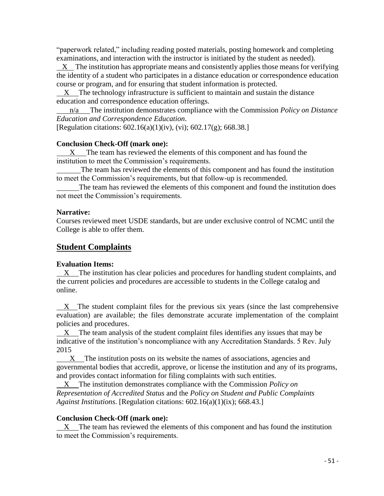"paperwork related," including reading posted materials, posting homework and completing examinations, and interaction with the instructor is initiated by the student as needed).

 X The institution has appropriate means and consistently applies those means for verifying the identity of a student who participates in a distance education or correspondence education course or program, and for ensuring that student information is protected.

 X The technology infrastructure is sufficient to maintain and sustain the distance education and correspondence education offerings.

 n/a The institution demonstrates compliance with the Commission *Policy on Distance Education and Correspondence Education*.

[Regulation citations: 602.16(a)(1)(iv), (vi); 602.17(g); 668.38.]

### **Conclusion Check-Off (mark one):**

 X The team has reviewed the elements of this component and has found the institution to meet the Commission's requirements.

 The team has reviewed the elements of this component and has found the institution to meet the Commission's requirements, but that follow-up is recommended.

 The team has reviewed the elements of this component and found the institution does not meet the Commission's requirements.

### **Narrative:**

Courses reviewed meet USDE standards, but are under exclusive control of NCMC until the College is able to offer them.

# **Student Complaints**

# **Evaluation Items:**

 X The institution has clear policies and procedures for handling student complaints, and the current policies and procedures are accessible to students in the College catalog and online.

 $X$  The student complaint files for the previous six years (since the last comprehensive evaluation) are available; the files demonstrate accurate implementation of the complaint policies and procedures.

 X The team analysis of the student complaint files identifies any issues that may be indicative of the institution's noncompliance with any Accreditation Standards. 5 Rev. July 2015

 X The institution posts on its website the names of associations, agencies and governmental bodies that accredit, approve, or license the institution and any of its programs, and provides contact information for filing complaints with such entities.

 X The institution demonstrates compliance with the Commission *Policy on Representation of Accredited Status* and the *Policy on Student and Public Complaints Against Institutions*. [Regulation citations: 602.16(a)(1)(ix); 668.43.]

# **Conclusion Check-Off (mark one):**

 $X$  The team has reviewed the elements of this component and has found the institution to meet the Commission's requirements.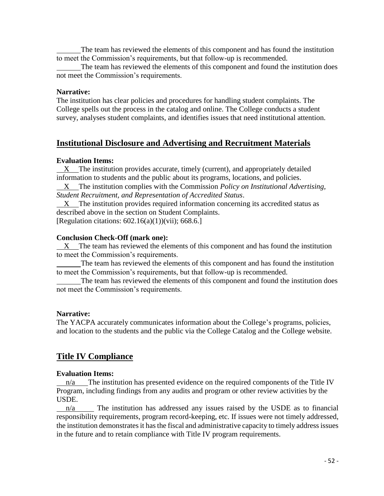The team has reviewed the elements of this component and has found the institution to meet the Commission's requirements, but that follow-up is recommended.

 The team has reviewed the elements of this component and found the institution does not meet the Commission's requirements.

#### **Narrative:**

The institution has clear policies and procedures for handling student complaints. The College spells out the process in the catalog and online. The College conducts a student survey, analyses student complaints, and identifies issues that need institutional attention.

# **Institutional Disclosure and Advertising and Recruitment Materials**

#### **Evaluation Items:**

 X The institution provides accurate, timely (current), and appropriately detailed information to students and the public about its programs, locations, and policies.

 X The institution complies with the Commission *Policy on Institutional Advertising, Student Recruitment, and Representation of Accredited Status*.

 X The institution provides required information concerning its accredited status as described above in the section on Student Complaints. [Regulation citations:  $602.16(a)(1)$ )(vii); 668.6.]

#### **Conclusion Check-Off (mark one):**

 X The team has reviewed the elements of this component and has found the institution to meet the Commission's requirements.

 The team has reviewed the elements of this component and has found the institution to meet the Commission's requirements, but that follow-up is recommended.

 The team has reviewed the elements of this component and found the institution does not meet the Commission's requirements.

#### **Narrative:**

The YACPA accurately communicates information about the College's programs, policies, and location to the students and the public via the College Catalog and the College website.

# **Title IV Compliance**

# **Evaluation Items:**

 $n/a$  The institution has presented evidence on the required components of the Title IV Program, including findings from any audits and program or other review activities by the USDE.

 n/a The institution has addressed any issues raised by the USDE as to financial responsibility requirements, program record-keeping, etc. If issues were not timely addressed, the institution demonstrates it has the fiscal and administrative capacity to timely address issues in the future and to retain compliance with Title IV program requirements.